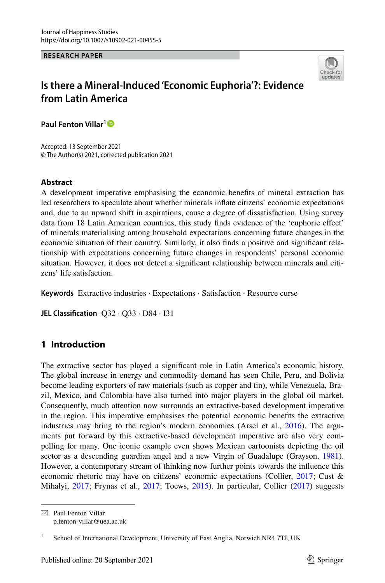**RESEARCH PAPER**



# **Is there a Mineral‑Induced 'Economic Euphoria'?: Evidence from Latin America**

**Paul Fenton Villar[1](http://orcid.org/0000-0001-8779-4189)**

Accepted: 13 September 2021 © The Author(s) 2021, corrected publication 2021

### **Abstract**

A development imperative emphasising the economic benefts of mineral extraction has led researchers to speculate about whether minerals infate citizens' economic expectations and, due to an upward shift in aspirations, cause a degree of dissatisfaction. Using survey data from 18 Latin American countries, this study fnds evidence of the 'euphoric efect' of minerals materialising among household expectations concerning future changes in the economic situation of their country. Similarly, it also fnds a positive and signifcant relationship with expectations concerning future changes in respondents' personal economic situation. However, it does not detect a signifcant relationship between minerals and citizens' life satisfaction.

**Keywords** Extractive industries · Expectations · Satisfaction · Resource curse

**JEL Classifcation** Q32 · Q33 · D84 · I31

# **1 Introduction**

The extractive sector has played a signifcant role in Latin America's economic history. The global increase in energy and commodity demand has seen Chile, Peru, and Bolivia become leading exporters of raw materials (such as copper and tin), while Venezuela, Brazil, Mexico, and Colombia have also turned into major players in the global oil market. Consequently, much attention now surrounds an extractive-based development imperative in the region. This imperative emphasises the potential economic benefts the extractive industries may bring to the region's modern economies (Arsel et al., [2016](#page-25-0)). The arguments put forward by this extractive-based development imperative are also very compelling for many. One iconic example even shows Mexican cartoonists depicting the oil sector as a descending guardian angel and a new Virgin of Guadalupe (Grayson, [1981](#page-26-0)). However, a contemporary stream of thinking now further points towards the infuence this economic rhetoric may have on citizens' economic expectations (Collier, [2017;](#page-26-1) Cust & Mihalyi, [2017;](#page-26-2) Frynas et al., [2017](#page-26-3); Toews, [2015](#page-27-0)). In particular, Collier ([2017\)](#page-26-1) suggests

 $\boxtimes$  Paul Fenton Villar p.fenton-villar@uea.ac.uk

<sup>&</sup>lt;sup>1</sup> School of International Development, University of East Anglia, Norwich NR4 7TJ, UK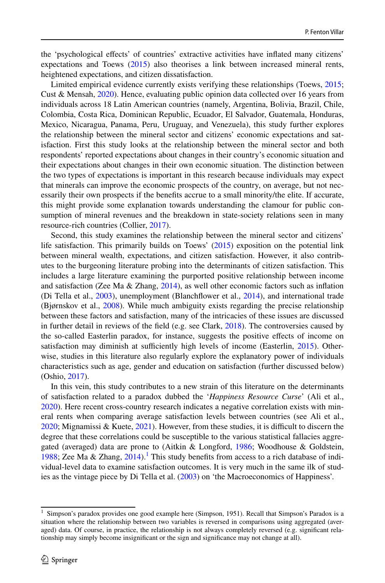the 'psychological efects' of countries' extractive activities have infated many citizens' expectations and Toews [\(2015](#page-27-0)) also theorises a link between increased mineral rents, heightened expectations, and citizen dissatisfaction.

Limited empirical evidence currently exists verifying these relationships (Toews, [2015;](#page-27-0) Cust & Mensah, [2020](#page-26-4)). Hence, evaluating public opinion data collected over 16 years from individuals across 18 Latin American countries (namely, Argentina, Bolivia, Brazil, Chile, Colombia, Costa Rica, Dominican Republic, Ecuador, El Salvador, Guatemala, Honduras, Mexico, Nicaragua, Panama, Peru, Uruguay, and Venezuela), this study further explores the relationship between the mineral sector and citizens' economic expectations and satisfaction. First this study looks at the relationship between the mineral sector and both respondents' reported expectations about changes in their country's economic situation and their expectations about changes in their own economic situation. The distinction between the two types of expectations is important in this research because individuals may expect that minerals can improve the economic prospects of the country, on average, but not necessarily their own prospects if the benefts accrue to a small minority/the elite. If accurate, this might provide some explanation towards understanding the clamour for public consumption of mineral revenues and the breakdown in state-society relations seen in many resource-rich countries (Collier, [2017\)](#page-26-1).

Second, this study examines the relationship between the mineral sector and citizens' life satisfaction. This primarily builds on Toews' ([2015\)](#page-27-0) exposition on the potential link between mineral wealth, expectations, and citizen satisfaction. However, it also contributes to the burgeoning literature probing into the determinants of citizen satisfaction. This includes a large literature examining the purported positive relationship between income and satisfaction (Zee Ma & Zhang, [2014\)](#page-27-1), as well other economic factors such as infation (Di Tella et al., [2003](#page-26-5)), unemployment (Blanchfower et al., [2014\)](#page-25-1), and international trade (Bjørnskov et al., [2008\)](#page-25-2). While much ambiguity exists regarding the precise relationship between these factors and satisfaction, many of the intricacies of these issues are discussed in further detail in reviews of the feld (e.g. see Clark, [2018\)](#page-26-6). The controversies caused by the so-called Easterlin paradox, for instance, suggests the positive efects of income on satisfaction may diminish at sufficiently high levels of income (Easterlin, [2015\)](#page-26-7). Otherwise, studies in this literature also regularly explore the explanatory power of individuals characteristics such as age, gender and education on satisfaction (further discussed below) (Oshio, [2017](#page-26-8)).

In this vein, this study contributes to a new strain of this literature on the determinants of satisfaction related to a paradox dubbed the '*Happiness Resource Curse*' (Ali et al., [2020\)](#page-25-3). Here recent cross-country research indicates a negative correlation exists with mineral rents when comparing average satisfaction levels between countries (see Ali et al., [2020;](#page-25-3) Mignamissi & Kuete, [2021\)](#page-26-9). However, from these studies, it is difficult to discern the degree that these correlations could be susceptible to the various statistical fallacies aggregated (averaged) data are prone to (Aitkin & Longford, [1986;](#page-25-4) Woodhouse & Goldstein, [1988;](#page-27-2) Zee Ma & Zhang,  $2014$ ).<sup>[1](#page-1-0)</sup> This study benefits from access to a rich database of individual-level data to examine satisfaction outcomes. It is very much in the same ilk of studies as the vintage piece by Di Tella et al. ([2003\)](#page-26-5) on 'the Macroeconomics of Happiness'.

<span id="page-1-0"></span><sup>&</sup>lt;sup>1</sup> Simpson's paradox provides one good example here (Simpson, 1951). Recall that Simpson's Paradox is a situation where the relationship between two variables is reversed in comparisons using aggregated (averaged) data. Of course, in practice, the relationship is not always completely reversed (e.g. signifcant relationship may simply become insignifcant or the sign and signifcance may not change at all).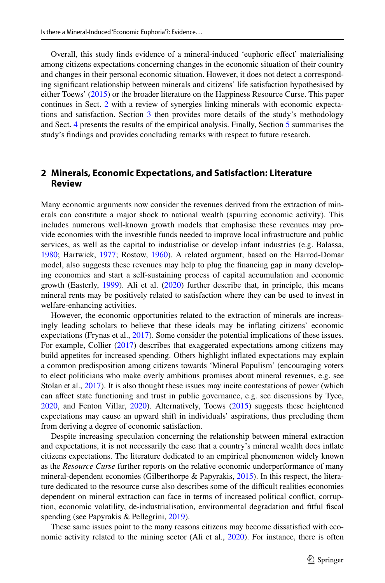Overall, this study fnds evidence of a mineral-induced 'euphoric efect' materialising among citizens expectations concerning changes in the economic situation of their country and changes in their personal economic situation. However, it does not detect a corresponding signifcant relationship between minerals and citizens' life satisfaction hypothesised by either Toews' ([2015\)](#page-27-0) or the broader literature on the Happiness Resource Curse. This paper continues in Sect. [2](#page-2-0) with a review of synergies linking minerals with economic expecta-tions and satisfaction. Section [3](#page-3-0) then provides more details of the study's methodology and Sect. [4](#page-10-0) presents the results of the empirical analysis. Finally, Section [5](#page-17-0) summarises the study's fndings and provides concluding remarks with respect to future research.

### <span id="page-2-0"></span>**2 Minerals, Economic Expectations, and Satisfaction: Literature Review**

Many economic arguments now consider the revenues derived from the extraction of minerals can constitute a major shock to national wealth (spurring economic activity). This includes numerous well-known growth models that emphasise these revenues may provide economies with the investible funds needed to improve local infrastructure and public services, as well as the capital to industrialise or develop infant industries (e.g. Balassa, [1980;](#page-25-5) Hartwick, [1977](#page-26-10); Rostow, [1960\)](#page-27-3). A related argument, based on the Harrod-Domar model, also suggests these revenues may help to plug the fnancing gap in many developing economies and start a self-sustaining process of capital accumulation and economic growth (Easterly, [1999\)](#page-26-11). Ali et al. ([2020\)](#page-25-3) further describe that, in principle, this means mineral rents may be positively related to satisfaction where they can be used to invest in welfare-enhancing activities.

However, the economic opportunities related to the extraction of minerals are increasingly leading scholars to believe that these ideals may be infating citizens' economic expectations (Frynas et al., [2017](#page-26-3)). Some consider the potential implications of these issues. For example, Collier ([2017\)](#page-26-1) describes that exaggerated expectations among citizens may build appetites for increased spending. Others highlight infated expectations may explain a common predisposition among citizens towards 'Mineral Populism' (encouraging voters to elect politicians who make overly ambitious promises about mineral revenues, e.g. see Stolan et al., [2017](#page-27-4)). It is also thought these issues may incite contestations of power (which can affect state functioning and trust in public governance, e.g. see discussions by Tyce, [2020,](#page-27-5) and Fenton Villar, [2020\)](#page-26-12). Alternatively, Toews ([2015\)](#page-27-0) suggests these heightened expectations may cause an upward shift in individuals' aspirations, thus precluding them from deriving a degree of economic satisfaction.

Despite increasing speculation concerning the relationship between mineral extraction and expectations, it is not necessarily the case that a country's mineral wealth does infate citizens expectations. The literature dedicated to an empirical phenomenon widely known as the *Resource Curse* further reports on the relative economic underperformance of many mineral-dependent economies (Gilberthorpe & Papyrakis, [2015](#page-26-13)). In this respect, the literature dedicated to the resource curse also describes some of the difficult realities economies dependent on mineral extraction can face in terms of increased political confict, corruption, economic volatility, de-industrialisation, environmental degradation and ftful fscal spending (see Papyrakis & Pellegrini, [2019](#page-27-6)).

These same issues point to the many reasons citizens may become dissatisfed with economic activity related to the mining sector (Ali et al., [2020\)](#page-25-3). For instance, there is often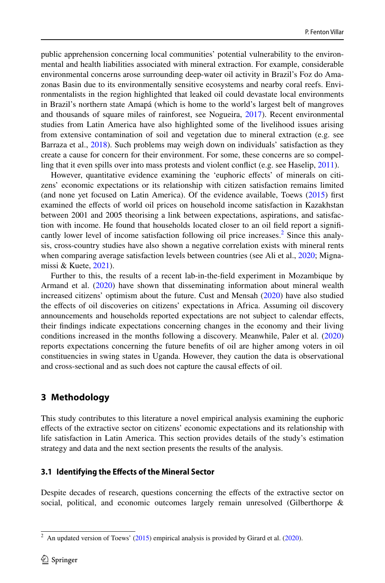public apprehension concerning local communities' potential vulnerability to the environmental and health liabilities associated with mineral extraction. For example, considerable environmental concerns arose surrounding deep-water oil activity in Brazil's Foz do Amazonas Basin due to its environmentally sensitive ecosystems and nearby coral reefs. Environmentalists in the region highlighted that leaked oil could devastate local environments in Brazil's northern state Amapá (which is home to the world's largest belt of mangroves and thousands of square miles of rainforest, see Nogueira, [2017](#page-26-14)). Recent environmental studies from Latin America have also highlighted some of the livelihood issues arising from extensive contamination of soil and vegetation due to mineral extraction (e.g. see Barraza et al., [2018\)](#page-25-6). Such problems may weigh down on individuals' satisfaction as they create a cause for concern for their environment. For some, these concerns are so compelling that it even spills over into mass protests and violent confict (e.g. see Haselip, [2011\)](#page-26-15).

However, quantitative evidence examining the 'euphoric efects' of minerals on citizens' economic expectations or its relationship with citizen satisfaction remains limited (and none yet focused on Latin America). Of the evidence available, Toews [\(2015](#page-27-0)) frst examined the efects of world oil prices on household income satisfaction in Kazakhstan between 2001 and 2005 theorising a link between expectations, aspirations, and satisfaction with income. He found that households located closer to an oil feld report a signif-cantly lower level of income satisfaction following oil price increases.<sup>[2](#page-3-1)</sup> Since this analysis, cross-country studies have also shown a negative correlation exists with mineral rents when comparing average satisfaction levels between countries (see Ali et al., [2020;](#page-25-3) Mignamissi & Kuete, [2021](#page-26-9)).

Further to this, the results of a recent lab-in-the-feld experiment in Mozambique by Armand et al.  $(2020)$  $(2020)$  have shown that disseminating information about mineral wealth increased citizens' optimism about the future. Cust and Mensah ([2020\)](#page-26-4) have also studied the efects of oil discoveries on citizens' expectations in Africa. Assuming oil discovery announcements and households reported expectations are not subject to calendar efects, their fndings indicate expectations concerning changes in the economy and their living conditions increased in the months following a discovery. Meanwhile, Paler et al. [\(2020](#page-27-7)) reports expectations concerning the future benefts of oil are higher among voters in oil constituencies in swing states in Uganda. However, they caution the data is observational and cross-sectional and as such does not capture the causal efects of oil.

# <span id="page-3-0"></span>**3 Methodology**

This study contributes to this literature a novel empirical analysis examining the euphoric efects of the extractive sector on citizens' economic expectations and its relationship with life satisfaction in Latin America. This section provides details of the study's estimation strategy and data and the next section presents the results of the analysis.

### **3.1 Identifying the Efects of the Mineral Sector**

Despite decades of research, questions concerning the effects of the extractive sector on social, political, and economic outcomes largely remain unresolved (Gilberthorpe &

<span id="page-3-1"></span><sup>&</sup>lt;sup>2</sup> An updated version of Toews' ( $2015$ ) empirical analysis is provided by Girard et al. ( $2020$ ).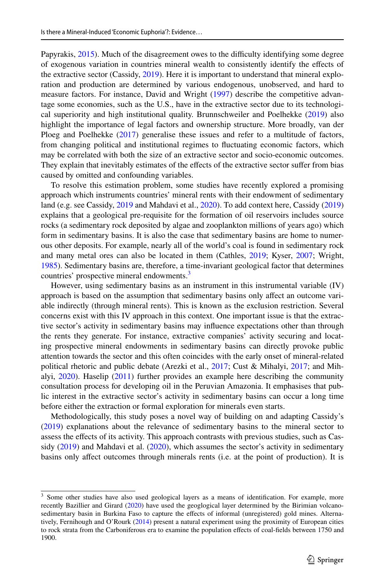Papyrakis, [2015\)](#page-26-13). Much of the disagreement owes to the difficulty identifying some degree of exogenous variation in countries mineral wealth to consistently identify the efects of the extractive sector (Cassidy, [2019\)](#page-26-17). Here it is important to understand that mineral exploration and production are determined by various endogenous, unobserved, and hard to measure factors. For instance, David and Wright [\(1997](#page-26-18)) describe the competitive advantage some economies, such as the U.S., have in the extractive sector due to its technological superiority and high institutional quality. Brunnschweiler and Poelhekke ([2019\)](#page-25-8) also highlight the importance of legal factors and ownership structure. More broadly, van der Ploeg and Poelhekke [\(2017](#page-27-8)) generalise these issues and refer to a multitude of factors, from changing political and institutional regimes to fuctuating economic factors, which may be correlated with both the size of an extractive sector and socio-economic outcomes. They explain that inevitably estimates of the effects of the extractive sector suffer from bias caused by omitted and confounding variables.

To resolve this estimation problem, some studies have recently explored a promising approach which instruments countries' mineral rents with their endowment of sedimentary land (e.g. see Cassidy, [2019](#page-26-17) and Mahdavi et al., [2020\)](#page-26-19). To add context here, Cassidy [\(2019](#page-26-17)) explains that a geological pre-requisite for the formation of oil reservoirs includes source rocks (a sedimentary rock deposited by algae and zooplankton millions of years ago) which form in sedimentary basins. It is also the case that sedimentary basins are home to numerous other deposits. For example, nearly all of the world's coal is found in sedimentary rock and many metal ores can also be located in them (Cathles, [2019;](#page-26-20) Kyser, [2007](#page-26-21); Wright, [1985\)](#page-27-9). Sedimentary basins are, therefore, a time-invariant geological factor that determines countries' prospective mineral endowments.<sup>3</sup>

However, using sedimentary basins as an instrument in this instrumental variable (IV) approach is based on the assumption that sedimentary basins only afect an outcome variable indirectly (through mineral rents). This is known as the exclusion restriction. Several concerns exist with this IV approach in this context. One important issue is that the extractive sector's activity in sedimentary basins may infuence expectations other than through the rents they generate. For instance, extractive companies' activity securing and locating prospective mineral endowments in sedimentary basins can directly provoke public attention towards the sector and this often coincides with the early onset of mineral-related political rhetoric and public debate (Arezki et al., [2017](#page-25-9); Cust & Mihalyi, [2017](#page-26-2); and Mihalyi, [2020\)](#page-26-22). Haselip ([2011\)](#page-26-15) further provides an example here describing the community consultation process for developing oil in the Peruvian Amazonia. It emphasises that public interest in the extractive sector's activity in sedimentary basins can occur a long time before either the extraction or formal exploration for minerals even starts.

Methodologically, this study poses a novel way of building on and adapting Cassidy's ([2019\)](#page-26-17) explanations about the relevance of sedimentary basins to the mineral sector to assess the efects of its activity. This approach contrasts with previous studies, such as Cassidy ([2019\)](#page-26-17) and Mahdavi et al. ([2020\)](#page-26-19), which assumes the sector's activity in sedimentary basins only afect outcomes through minerals rents (i.e. at the point of production). It is

<span id="page-4-0"></span><sup>&</sup>lt;sup>3</sup> Some other studies have also used geological layers as a means of identification. For example, more recently Bazillier and Girard ([2020\)](#page-25-10) have used the geoglogical layer determined by the Birimian volcanosedimentary basin in Burkina Faso to capture the efects of informal (unregistered) gold mines. Alternatively, Fernihough and O'Rourk [\(2014](#page-26-23)) present a natural experiment using the proximity of European cities to rock strata from the Carboniferous era to examine the population efects of coal-felds between 1750 and 1900.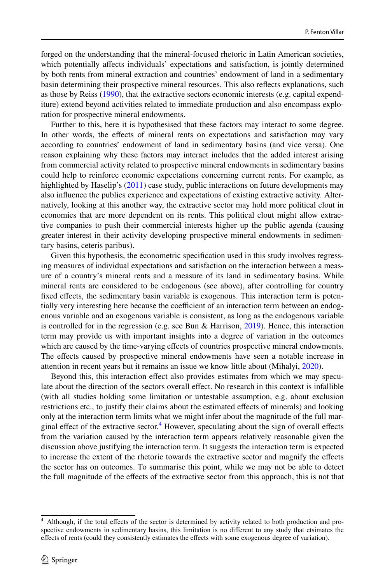forged on the understanding that the mineral-focused rhetoric in Latin American societies, which potentially affects individuals' expectations and satisfaction, is jointly determined by both rents from mineral extraction and countries' endowment of land in a sedimentary basin determining their prospective mineral resources. This also refects explanations, such as those by Reiss ([1990\)](#page-27-10), that the extractive sectors economic interests (e.g. capital expenditure) extend beyond activities related to immediate production and also encompass exploration for prospective mineral endowments.

Further to this, here it is hypothesised that these factors may interact to some degree. In other words, the efects of mineral rents on expectations and satisfaction may vary according to countries' endowment of land in sedimentary basins (and vice versa). One reason explaining why these factors may interact includes that the added interest arising from commercial activity related to prospective mineral endowments in sedimentary basins could help to reinforce economic expectations concerning current rents. For example, as highlighted by Haselip's ([2011\)](#page-26-15) case study, public interactions on future developments may also infuence the publics experience and expectations of existing extractive activity. Alternatively, looking at this another way, the extractive sector may hold more political clout in economies that are more dependent on its rents. This political clout might allow extractive companies to push their commercial interests higher up the public agenda (causing greater interest in their activity developing prospective mineral endowments in sedimentary basins, ceteris paribus).

Given this hypothesis, the econometric specifcation used in this study involves regressing measures of individual expectations and satisfaction on the interaction between a measure of a country's mineral rents and a measure of its land in sedimentary basins. While mineral rents are considered to be endogenous (see above), after controlling for country fxed efects, the sedimentary basin variable is exogenous. This interaction term is potentially very interesting here because the coefficient of an interaction term between an endogenous variable and an exogenous variable is consistent, as long as the endogenous variable is controlled for in the regression (e.g. see Bun & Harrison, [2019\)](#page-26-24). Hence, this interaction term may provide us with important insights into a degree of variation in the outcomes which are caused by the time-varying efects of countries prospective mineral endowments. The efects caused by prospective mineral endowments have seen a notable increase in attention in recent years but it remains an issue we know little about (Mihalyi, [2020\)](#page-26-22).

Beyond this, this interaction effect also provides estimates from which we may speculate about the direction of the sectors overall efect. No research in this context is infallible (with all studies holding some limitation or untestable assumption, e.g. about exclusion restrictions etc., to justify their claims about the estimated efects of minerals) and looking only at the interaction term limits what we might infer about the magnitude of the full mar-ginal effect of the extractive sector.<sup>[4](#page-5-0)</sup> However, speculating about the sign of overall effects from the variation caused by the interaction term appears relatively reasonable given the discussion above justifying the interaction term. It suggests the interaction term is expected to increase the extent of the rhetoric towards the extractive sector and magnify the efects the sector has on outcomes. To summarise this point, while we may not be able to detect the full magnitude of the efects of the extractive sector from this approach, this is not that

<span id="page-5-0"></span><sup>&</sup>lt;sup>4</sup> Although, if the total effects of the sector is determined by activity related to both production and prospective endowments in sedimentary basins, this limitation is no diferent to any study that etsimates the efects of rents (could they consistently estimates the efects with some exogenous degree of variation).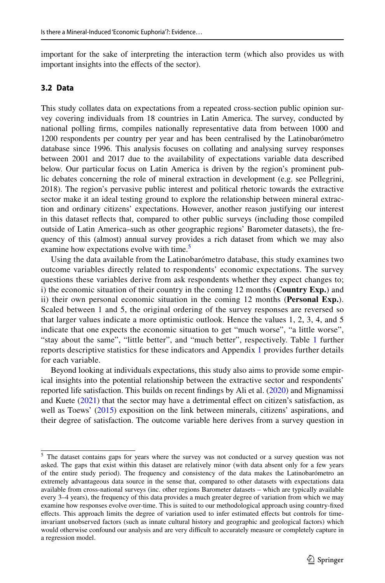important for the sake of interpreting the interaction term (which also provides us with important insights into the efects of the sector).

#### **3.2 Data**

This study collates data on expectations from a repeated cross-section public opinion survey covering individuals from 18 countries in Latin America. The survey, conducted by national polling frms, compiles nationally representative data from between 1000 and 1200 respondents per country per year and has been centralised by the Latinobarómetro database since 1996. This analysis focuses on collating and analysing survey responses between 2001 and 2017 due to the availability of expectations variable data described below. Our particular focus on Latin America is driven by the region's prominent public debates concerning the role of mineral extraction in development (e.g. see Pellegrini, 2018). The region's pervasive public interest and political rhetoric towards the extractive sector make it an ideal testing ground to explore the relationship between mineral extraction and ordinary citizens' expectations. However, another reason justifying our interest in this dataset refects that, compared to other public surveys (including those compiled outside of Latin America–such as other geographic regions' Barometer datasets), the frequency of this (almost) annual survey provides a rich dataset from which we may also examine how expectations evolve with time.<sup>[5](#page-6-0)</sup>

Using the data available from the Latinobarómetro database, this study examines two outcome variables directly related to respondents' economic expectations. The survey questions these variables derive from ask respondents whether they expect changes to; i) the economic situation of their country in the coming 12 months (**Country Exp.**) and ii) their own personal economic situation in the coming 12 months (**Personal Exp.**). Scaled between 1 and 5, the original ordering of the survey responses are reversed so that larger values indicate a more optimistic outlook. Hence the values 1, 2, 3, 4, and 5 indicate that one expects the economic situation to get "much worse", "a little worse", "stay about the same", "little better", and "much better", respectively. Table [1](#page-7-0) further reports descriptive statistics for these indicators and Appendix [1](#page-19-0) provides further details for each variable.

Beyond looking at individuals expectations, this study also aims to provide some empirical insights into the potential relationship between the extractive sector and respondents' reported life satisfaction. This builds on recent fndings by Ali et al. [\(2020](#page-25-3)) and Mignamissi and Kuete ([2021\)](#page-26-9) that the sector may have a detrimental efect on citizen's satisfaction, as well as Toews' [\(2015](#page-27-0)) exposition on the link between minerals, citizens' aspirations, and their degree of satisfaction. The outcome variable here derives from a survey question in

<span id="page-6-0"></span><sup>&</sup>lt;sup>5</sup> The dataset contains gaps for years where the survey was not conducted or a survey question was not asked. The gaps that exist within this dataset are relatively minor (with data absent only for a few years of the entire study period). The frequency and consistency of the data makes the Latinobarómetro an extremely advantageous data source in the sense that, compared to other datasets with expectations data available from cross-national surveys (inc. other regions Barometer datasets – which are typically available every 3–4 years), the frequency of this data provides a much greater degree of variation from which we may examine how responses evolve over-time. This is suited to our methodological approach using country-fxed efects. This approach limits the degree of variation used to infer estimated efects but controls for timeinvariant unobserved factors (such as innate cultural history and geographic and geological factors) which would otherwise confound our analysis and are very difficult to accurately measure or completely capture in a regression model.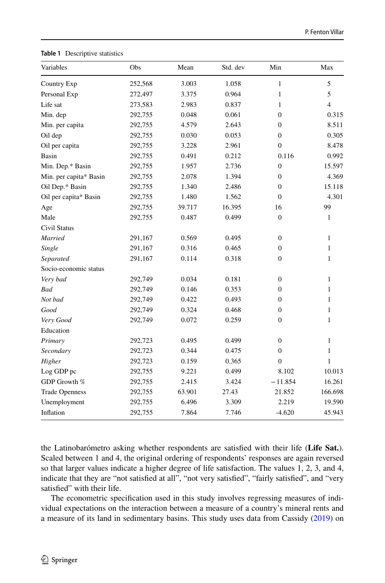| Variables              | Obs     | Mean   | Std. dev | Min              | Max            |
|------------------------|---------|--------|----------|------------------|----------------|
| Country Exp            | 252,568 | 3.003  | 1.058    | $\mathbf{1}$     | 5              |
| Personal Exp           | 272,497 | 3.375  | 0.964    | $\mathbf{1}$     | 5              |
| Life sat               | 273,583 | 2.983  | 0.837    | 1                | $\overline{4}$ |
| Min. dep               | 292,755 | 0.048  | 0.061    | $\overline{0}$   | 0.315          |
| Min. per capita        | 292,755 | 4.579  | 2.643    | $\overline{0}$   | 8.511          |
| Oil dep                | 292,755 | 0.030  | 0.053    | $\overline{0}$   | 0.305          |
| Oil per capita         | 292,755 | 3.228  | 2.961    | $\theta$         | 8.478          |
| Basin                  | 292,755 | 0.491  | 0.212    | 0.116            | 0.992          |
| Min. Dep.* Basin       | 292,755 | 1.957  | 2.736    | $\boldsymbol{0}$ | 15.597         |
| Min. per capita* Basin | 292,755 | 2.078  | 1.394    | $\overline{0}$   | 4.369          |
| Oil Dep.* Basin        | 292,755 | 1.340  | 2.486    | $\overline{0}$   | 15.118         |
| Oil per capita* Basin  | 292,755 | 1.480  | 1.562    | $\Omega$         | 4.301          |
| Age                    | 292,755 | 39.717 | 16.395   | 16               | 99             |
| Male                   | 292,755 | 0.487  | 0.499    | $\overline{0}$   | $\mathbf{1}$   |
| <b>Civil Status</b>    |         |        |          |                  |                |
| Married                | 291,167 | 0.569  | 0.495    | $\overline{0}$   | $\mathbf{1}$   |
| Single                 | 291,167 | 0.316  | 0.465    | $\overline{0}$   | $\mathbf{1}$   |
| Separated              | 291,167 | 0.114  | 0.318    | $\overline{0}$   | $\mathbf{1}$   |
| Socio-economic status  |         |        |          |                  |                |
| Very bad               | 292,749 | 0.034  | 0.181    | $\overline{0}$   | $\mathbf{1}$   |
| <b>Bad</b>             | 292,749 | 0.146  | 0.353    | $\overline{0}$   | $\mathbf{1}$   |
| Not bad                | 292,749 | 0.422  | 0.493    | 0                | 1              |
| Good                   | 292,749 | 0.324  | 0.468    | $\overline{0}$   | 1              |
| Very Good              | 292,749 | 0.072  | 0.259    | $\overline{0}$   | $\mathbf{1}$   |
| Education              |         |        |          |                  |                |
| Primary                | 292,723 | 0.495  | 0.499    | $\boldsymbol{0}$ | $\mathbf{1}$   |
| Secondary              | 292,723 | 0.344  | 0.475    | $\overline{0}$   | 1              |
| Higher                 | 292,723 | 0.159  | 0.365    | 0                | 1              |
| Log GDP pc             | 292,755 | 9.221  | 0.499    | 8.102            | 10.013         |
| GDP Growth %           | 292,755 | 2.415  | 3.424    | $-11.854$        | 16.261         |
| <b>Trade Openness</b>  | 292,755 | 63.901 | 27.43    | 21.852           | 166.698        |
| Unemployment           | 292,755 | 6.496  | 3.309    | 2.219            | 19.590         |
| Inflation              | 292,755 | 7.864  | 7.746    | $-4.620$         | 45.943         |

<span id="page-7-0"></span>**Table 1** Descriptive statistics

the Latinobarómetro asking whether respondents are satisfed with their life (**Life Sat.**). Scaled between 1 and 4, the original ordering of respondents' responses are again reversed so that larger values indicate a higher degree of life satisfaction. The values 1, 2, 3, and 4, indicate that they are "not satisfed at all", "not very satisfed", "fairly satisfed", and "very satisfed" with their life.

The econometric specifcation used in this study involves regressing measures of individual expectations on the interaction between a measure of a country's mineral rents and a measure of its land in sedimentary basins. This study uses data from Cassidy [\(2019](#page-26-17)) on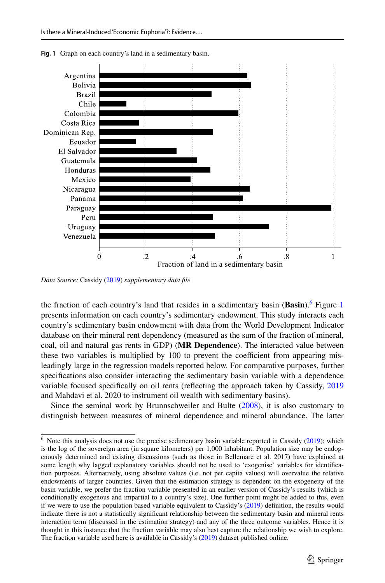

<span id="page-8-1"></span>**Fig. 1** Graph on each country's land in a sedimentary basin.

*Data Source:* Cassidy [\(2019](#page-26-17)) *supplementary data fle*

the fraction of each country's land that resides in a sedimentary basin (**Basin**).<sup>[6](#page-8-0)</sup> Figure [1](#page-8-1) presents information on each country's sedimentary endowment. This study interacts each country's sedimentary basin endowment with data from the World Development Indicator database on their mineral rent dependency (measured as the sum of the fraction of mineral, coal, oil and natural gas rents in GDP) (**MR Dependence**). The interacted value between these two variables is multiplied by 100 to prevent the coefficient from appearing misleadingly large in the regression models reported below. For comparative purposes, further specifcations also consider interacting the sedimentary basin variable with a dependence variable focused specifcally on oil rents (refecting the approach taken by Cassidy, [2019](#page-26-17) and Mahdavi et al. 2020 to instrument oil wealth with sedimentary basins).

Since the seminal work by Brunnschweiler and Bulte ([2008\)](#page-25-11), it is also customary to distinguish between measures of mineral dependence and mineral abundance. The latter

<span id="page-8-0"></span>Note this analysis does not use the precise sedimentary basin variable reported in Cassidy ([2019\)](#page-26-17); which is the log of the sovereign area (in square kilometers) per 1,000 inhabitant. Population size may be endogenously determined and existing discussions (such as those in Bellemare et al. 2017) have explained at some length why lagged explanatory variables should not be used to 'exogenise' variables for identifcation purposes. Alternatively, using absolute values (i.e. not per capita values) will overvalue the relative endowments of larger countries. Given that the estimation strategy is dependent on the exogeneity of the basin variable, we prefer the fraction variable presented in an earlier version of Cassidy's results (which is conditionally exogenous and impartial to a country's size). One further point might be added to this, even if we were to use the population based variable equivalent to Cassidy's ([2019\)](#page-26-17) defnition, the results would indicate there is not a statistically signifcant relationship between the sedimentary basin and mineral rents interaction term (discussed in the estimation strategy) and any of the three outcome variables. Hence it is thought in this instance that the fraction variable may also best capture the relationship we wish to explore. The fraction variable used here is available in Cassidy's ([2019\)](#page-26-17) dataset published online.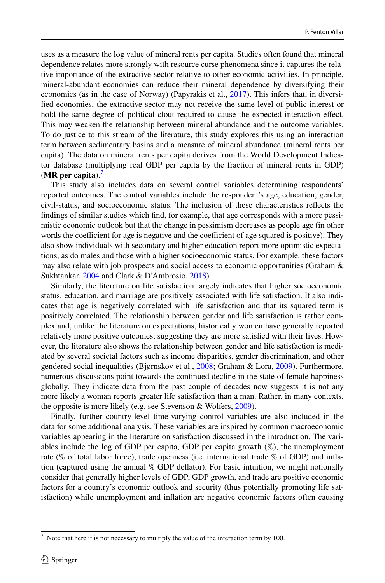uses as a measure the log value of mineral rents per capita. Studies often found that mineral dependence relates more strongly with resource curse phenomena since it captures the relative importance of the extractive sector relative to other economic activities. In principle, mineral-abundant economies can reduce their mineral dependence by diversifying their economies (as in the case of Norway) (Papyrakis et al., [2017\)](#page-27-11). This infers that, in diversifed economies, the extractive sector may not receive the same level of public interest or hold the same degree of political clout required to cause the expected interaction efect. This may weaken the relationship between mineral abundance and the outcome variables. To do justice to this stream of the literature, this study explores this using an interaction term between sedimentary basins and a measure of mineral abundance (mineral rents per capita). The data on mineral rents per capita derives from the World Development Indicator database (multiplying real GDP per capita by the fraction of mineral rents in GDP) (**MR per capita**).[7](#page-9-0)

This study also includes data on several control variables determining respondents' reported outcomes. The control variables include the respondent's age, education, gender, civil-status, and socioeconomic status. The inclusion of these characteristics refects the fndings of similar studies which fnd, for example, that age corresponds with a more pessimistic economic outlook but that the change in pessimism decreases as people age (in other words the coefficient for age is negative and the coefficient of age squared is positive). They also show individuals with secondary and higher education report more optimistic expectations, as do males and those with a higher socioeconomic status. For example, these factors may also relate with job prospects and social access to economic opportunities (Graham & Sukhtankar, [2004](#page-26-25) and Clark & D'Ambrosio, [2018\)](#page-26-26).

Similarly, the literature on life satisfaction largely indicates that higher socioeconomic status, education, and marriage are positively associated with life satisfaction. It also indicates that age is negatively correlated with life satisfaction and that its squared term is positively correlated. The relationship between gender and life satisfaction is rather complex and, unlike the literature on expectations, historically women have generally reported relatively more positive outcomes; suggesting they are more satisfed with their lives. However, the literature also shows the relationship between gender and life satisfaction is mediated by several societal factors such as income disparities, gender discrimination, and other gendered social inequalities (Bjørnskov et al., [2008](#page-25-2); Graham & Lora, [2009](#page-26-27)). Furthermore, numerous discussions point towards the continued decline in the state of female happiness globally. They indicate data from the past couple of decades now suggests it is not any more likely a woman reports greater life satisfaction than a man. Rather, in many contexts, the opposite is more likely (e.g. see Stevenson & Wolfers, [2009](#page-27-12)).

Finally, further country-level time-varying control variables are also included in the data for some additional analysis. These variables are inspired by common macroeconomic variables appearing in the literature on satisfaction discussed in the introduction. The variables include the log of GDP per capita, GDP per capita growth (%), the unemployment rate (% of total labor force), trade openness (i.e. international trade % of GDP) and infation (captured using the annual % GDP defator). For basic intuition, we might notionally consider that generally higher levels of GDP, GDP growth, and trade are positive economic factors for a country's economic outlook and security (thus potentially promoting life satisfaction) while unemployment and infation are negative economic factors often causing

<span id="page-9-0"></span> $7$  Note that here it is not necessary to multiply the value of the interaction term by 100.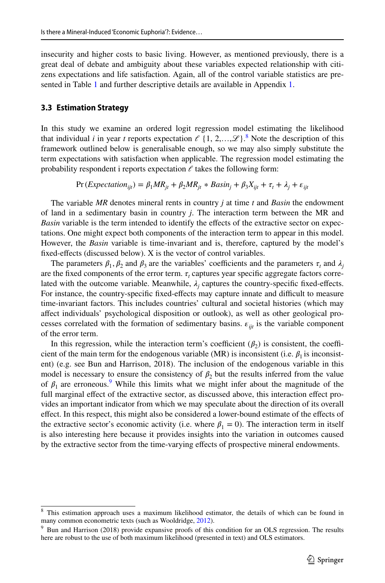insecurity and higher costs to basic living. However, as mentioned previously, there is a great deal of debate and ambiguity about these variables expected relationship with citizens expectations and life satisfaction. Again, all of the control variable statistics are presented in Table [1](#page-7-0) and further descriptive details are available in Appendix [1](#page-19-0).

#### <span id="page-10-0"></span>**3.3 Estimation Strategy**

In this study we examine an ordered logit regression model estimating the likelihood that individual *i* in year *t* reports expectation  $\ell \{1, 2, ..., \mathcal{L}\}\$ . Note the description of this framework outlined below is generalisable enough, so we may also simply substitute the term expectations with satisfaction when applicable. The regression model estimating the probability respondent i reports expectation  $\ell$  takes the following form:

$$
Pr (Expectation_{ijt}) = \beta_1 MR_{jt} + \beta_2 MR_{jt} * Basin_j + \beta_3 X_{ijt} + \tau_t + \lambda_j + \varepsilon_{ijt}
$$

The variable *MR* denotes mineral rents in country *j* at time *t* and *Basin* the endowment of land in a sedimentary basin in country *j*. The interaction term between the MR and *Basin* variable is the term intended to identify the effects of the extractive sector on expectations. One might expect both components of the interaction term to appear in this model. However, the *Basin* variable is time-invariant and is, therefore, captured by the model's fixed-effects (discussed below). X is the vector of control variables.

The parameters  $\beta_1$ ,  $\beta_2$  and  $\beta_3$  are the variables' coefficients and the parameters  $\tau_t$  and  $\lambda_j$ are the fixed components of the error term.  $\tau_t$  captures year specific aggregate factors correlated with the outcome variable. Meanwhile,  $\lambda_j$  captures the country-specific fixed-effects. For instance, the country-specific fixed-effects may capture innate and difficult to measure time-invariant factors. This includes countries' cultural and societal histories (which may afect individuals' psychological disposition or outlook), as well as other geological processes correlated with the formation of sedimentary basins.  $\varepsilon_{ijt}$  is the variable component of the error term.

In this regression, while the interaction term's coefficient  $(\beta_2)$  is consistent, the coefficient of the main term for the endogenous variable (MR) is inconsistent (i.e.  $\beta_1$  is inconsistent) (e.g. see Bun and Harrison, 2018). The inclusion of the endogenous variable in this model is necessary to ensure the consistency of  $\beta_2$  but the results inferred from the value of  $\beta_1$  are erroneous.<sup>9</sup> While this limits what we might infer about the magnitude of the full marginal effect of the extractive sector, as discussed above, this interaction effect provides an important indicator from which we may speculate about the direction of its overall efect. In this respect, this might also be considered a lower-bound estimate of the efects of the extractive sector's economic activity (i.e. where  $\beta_1 = 0$ ). The interaction term in itself is also interesting here because it provides insights into the variation in outcomes caused by the extractive sector from the time-varying efects of prospective mineral endowments.

<span id="page-10-1"></span><sup>&</sup>lt;sup>8</sup> This estimation approach uses a maximum likelihood estimator, the details of which can be found in many common econometric texts (such as Wooldridge, [2012](#page-27-13)).

<span id="page-10-2"></span><sup>&</sup>lt;sup>9</sup> Bun and Harrison (2018) provide expansive proofs of this condition for an OLS regression. The results here are robust to the use of both maximum likelihood (presented in text) and OLS estimators.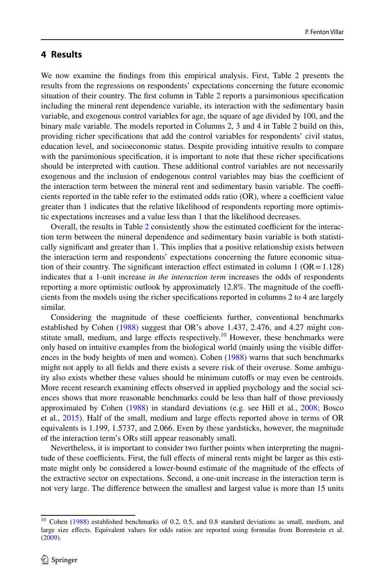## **4 Results**

We now examine the fndings from this empirical analysis. First, Table [2](#page-12-0) presents the results from the regressions on respondents' expectations concerning the future economic situation of their country. The frst column in Table [2](#page-12-0) reports a parsimonious specifcation including the mineral rent dependence variable, its interaction with the sedimentary basin variable, and exogenous control variables for age, the square of age divided by 100, and the binary male variable. The models reported in Columns 2, 3 and 4 in Table [2](#page-12-0) build on this, providing richer specifcations that add the control variables for respondents' civil status, education level, and socioeconomic status. Despite providing intuitive results to compare with the parsimonious specification, it is important to note that these richer specifications should be interpreted with caution. These additional control variables are not necessarily exogenous and the inclusion of endogenous control variables may bias the coefficient of the interaction term between the mineral rent and sedimentary basin variable. The coefficients reported in the table refer to the estimated odds ratio  $(OR)$ , where a coefficient value greater than 1 indicates that the relative likelihood of respondents reporting more optimistic expectations increases and a value less than 1 that the likelihood decreases.

Overall, the results in Table [2](#page-12-0) consistently show the estimated coefficient for the interaction term between the mineral dependence and sedimentary basin variable is both statistically signifcant and greater than 1. This implies that a positive relationship exists between the interaction term and respondents' expectations concerning the future economic situation of their country. The significant interaction effect estimated in column 1 ( $OR = 1.128$ ) indicates that a 1-unit increase *in the interaction term* increases the odds of respondents reporting a more optimistic outlook by approximately  $12.8\%$ . The magnitude of the coefficients from the models using the richer specifcations reported in columns 2 to 4 are largely similar.

Considering the magnitude of these coefficients further, conventional benchmarks established by Cohen [\(1988](#page-26-28)) suggest that OR's above 1.437, 2.476, and 4.27 might constitute small, medium, and large effects respectively.<sup>10</sup> However, these benchmarks were only based on intuitive examples from the biological world (mainly using the visible diferences in the body heights of men and women). Cohen ([1988\)](#page-26-28) warns that such benchmarks might not apply to all felds and there exists a severe risk of their overuse. Some ambiguity also exists whether these values should be minimum cutofs or may even be centroids. More recent research examining effects observed in applied psychology and the social sciences shows that more reasonable benchmarks could be less than half of those previously approximated by Cohen [\(1988](#page-26-28)) in standard deviations (e.g. see Hill et al., [2008](#page-26-29); Bosco et al., [2015\)](#page-25-12). Half of the small, medium and large efects reported above in terms of OR equivalents is 1.199, 1.5737, and 2.066. Even by these yardsticks, however, the magnitude of the interaction term's ORs still appear reasonably small.

Nevertheless, it is important to consider two further points when interpreting the magnitude of these coefficients. First, the full effects of mineral rents might be larger as this estimate might only be considered a lower-bound estimate of the magnitude of the efects of the extractive sector on expectations. Second, a one-unit increase in the interaction term is not very large. The diference between the smallest and largest value is more than 15 units

<span id="page-11-0"></span><sup>&</sup>lt;sup>10</sup> Cohen ([1988\)](#page-26-28) established benchmarks of 0.2, 0.5, and 0.8 standard deviations as small, medium, and large size efects. Equivalent values for odds ratios are reported using formulas from Borenstein et al. [\(2009](#page-25-13)).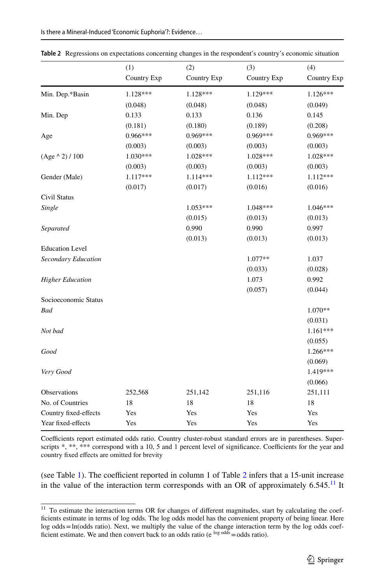|                         | (1)         | (2)         | (3)         | (4)         |
|-------------------------|-------------|-------------|-------------|-------------|
|                         | Country Exp | Country Exp | Country Exp | Country Exp |
| Min. Dep.*Basin         | 1.128***    | 1.128***    | 1.129***    | $1.126***$  |
|                         | (0.048)     | (0.048)     | (0.048)     | (0.049)     |
| Min. Dep                | 0.133       | 0.133       | 0.136       | 0.145       |
|                         | (0.181)     | (0.180)     | (0.189)     | (0.208)     |
| Age                     | 0.966***    | 0.969***    | $0.969***$  | $0.969***$  |
|                         | (0.003)     | (0.003)     | (0.003)     | (0.003)     |
| $(Age \land 2) / 100$   | 1.030***    | $1.028***$  | $1.028***$  | $1.028***$  |
|                         | (0.003)     | (0.003)     | (0.003)     | (0.003)     |
| Gender (Male)           | 1.117***    | 1.114***    | 1.112***    | 1.112***    |
|                         | (0.017)     | (0.017)     | (0.016)     | (0.016)     |
| Civil Status            |             |             |             |             |
| Single                  |             | $1.053***$  | 1.048***    | $1.046***$  |
|                         |             | (0.015)     | (0.013)     | (0.013)     |
| Separated               |             | 0.990       | 0.990       | 0.997       |
|                         |             | (0.013)     | (0.013)     | (0.013)     |
| <b>Education Level</b>  |             |             |             |             |
| Secondary Education     |             |             | 1.077**     | 1.037       |
|                         |             |             | (0.033)     | (0.028)     |
| <b>Higher Education</b> |             |             | 1.073       | 0.992       |
|                         |             |             | (0.057)     | (0.044)     |
| Socioeconomic Status    |             |             |             |             |
| <b>Bad</b>              |             |             |             | 1.070**     |
|                         |             |             |             | (0.031)     |
| Not bad                 |             |             |             | $1.161***$  |
|                         |             |             |             | (0.055)     |
| Good                    |             |             |             | 1.266***    |
|                         |             |             |             | (0.069)     |
| Very Good               |             |             |             | 1.419***    |
|                         |             |             |             | (0.066)     |
| Observations            | 252,568     | 251,142     | 251,116     | 251,111     |
| No. of Countries        | 18          | 18          | 18          | 18          |
| Country fixed-effects   | Yes         | Yes         | Yes         | Yes         |
| Year fixed-effects      | Yes         | Yes         | Yes         | Yes         |

<span id="page-12-0"></span>**Table 2** Regressions on expectations concerning changes in the respondent's country's economic situation

Coefficients report estimated odds ratio. Country cluster-robust standard errors are in parentheses. Superscripts  $*, **$ ,  $***$  correspond with a 10, 5 and 1 percent level of significance. Coefficients for the year and country fxed efects are omitted for brevity

(see Table [1](#page-7-0)). The coefficient reported in column 1 of Table  $2$  infers that a 15-unit increase in the value of the interaction term corresponds with an OR of approximately  $6.545$ .<sup>11</sup> It

<span id="page-12-1"></span><sup>&</sup>lt;sup>11</sup> To estimate the interaction terms OR for changes of different magnitudes, start by calculating the coefficients estimate in terms of log odds. The log odds model has the convenient property of being linear. Here log odds=ln(odds ratio). Next, we multiply the value of the change interaction term by the log odds coefficient estimate. We and then convert back to an odds ratio ( $e^{log o d d s}$  = odds ratio).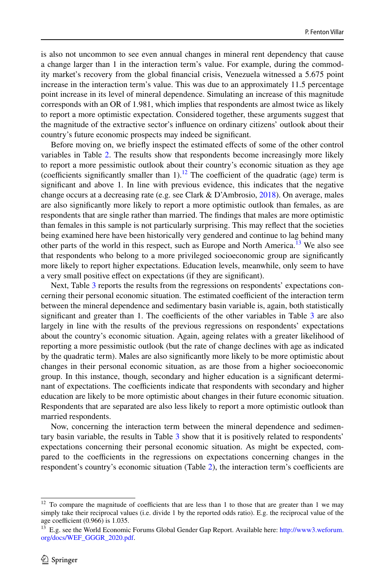is also not uncommon to see even annual changes in mineral rent dependency that cause a change larger than 1 in the interaction term's value. For example, during the commodity market's recovery from the global fnancial crisis, Venezuela witnessed a 5.675 point increase in the interaction term's value. This was due to an approximately 11.5 percentage point increase in its level of mineral dependence. Simulating an increase of this magnitude corresponds with an OR of 1.981, which implies that respondents are almost twice as likely to report a more optimistic expectation. Considered together, these arguments suggest that the magnitude of the extractive sector's infuence on ordinary citizens' outlook about their country's future economic prospects may indeed be signifcant.

Before moving on, we briefy inspect the estimated efects of some of the other control variables in Table [2](#page-12-0). The results show that respondents become increasingly more likely to report a more pessimistic outlook about their country's economic situation as they age (coefficients significantly smaller than  $1$ ).<sup>[12](#page-13-0)</sup> The coefficient of the quadratic (age) term is signifcant and above 1. In line with previous evidence, this indicates that the negative change occurs at a decreasing rate (e.g. see Clark & D'Ambrosio, [2018](#page-26-26)). On average, males are also signifcantly more likely to report a more optimistic outlook than females, as are respondents that are single rather than married. The fndings that males are more optimistic than females in this sample is not particularly surprising. This may refect that the societies being examined here have been historically very gendered and continue to lag behind many other parts of the world in this respect, such as Europe and North America.<sup>13</sup> We also see that respondents who belong to a more privileged socioeconomic group are signifcantly more likely to report higher expectations. Education levels, meanwhile, only seem to have a very small positive efect on expectations (if they are signifcant).

Next, Table [3](#page-14-0) reports the results from the regressions on respondents' expectations concerning their personal economic situation. The estimated coefficient of the interaction term between the mineral dependence and sedimentary basin variable is, again, both statistically significant and greater than 1. The coefficients of the other variables in Table  $3$  are also largely in line with the results of the previous regressions on respondents' expectations about the country's economic situation. Again, ageing relates with a greater likelihood of reporting a more pessimistic outlook (but the rate of change declines with age as indicated by the quadratic term). Males are also signifcantly more likely to be more optimistic about changes in their personal economic situation, as are those from a higher socioeconomic group. In this instance, though, secondary and higher education is a signifcant determinant of expectations. The coefficients indicate that respondents with secondary and higher education are likely to be more optimistic about changes in their future economic situation. Respondents that are separated are also less likely to report a more optimistic outlook than married respondents.

Now, concerning the interaction term between the mineral dependence and sedimentary basin variable, the results in Table [3](#page-14-0) show that it is positively related to respondents' expectations concerning their personal economic situation. As might be expected, compared to the coefficients in the regressions on expectations concerning changes in the respondent's country's economic situation (Table [2](#page-12-0)), the interaction term's coefficients are

<span id="page-13-0"></span> $12$  To compare the magnitude of coefficients that are less than 1 to those that are greater than 1 we may simply take their reciprocal values (i.e. divide 1 by the reported odds ratio). E.g. the reciprocal value of the age coefficient  $(0.966)$  is 1.035.

<span id="page-13-1"></span><sup>&</sup>lt;sup>13</sup> E.g. see the World Economic Forums Global Gender Gap Report. Available here: [http://www3.weforum.](http://www3.weforum.org/docs/WEF_GGGR_2020.pdf) [org/docs/WEF\\_GGGR\\_2020.pdf.](http://www3.weforum.org/docs/WEF_GGGR_2020.pdf)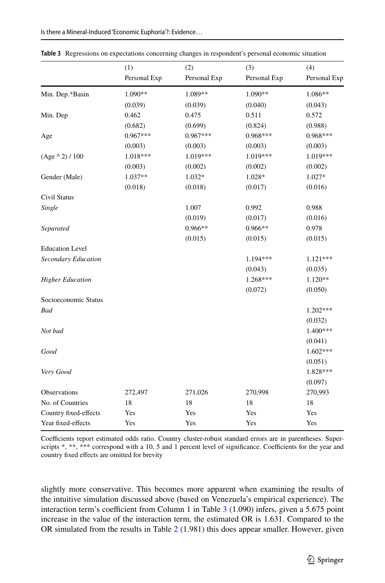|                         | (1)          | (2)          | (3)          | (4)          |
|-------------------------|--------------|--------------|--------------|--------------|
|                         | Personal Exp | Personal Exp | Personal Exp | Personal Exp |
| Min. Dep.*Basin         | 1.090**      | 1.089**      | 1.090**      | 1.086**      |
|                         | (0.039)      | (0.039)      | (0.040)      | (0.043)      |
| Min. Dep                | 0.462        | 0.475        | 0.511        | 0.572        |
|                         | (0.682)      | (0.699)      | (0.824)      | (0.988)      |
| Age                     | $0.967***$   | $0.967***$   | $0.968***$   | $0.968***$   |
|                         | (0.003)      | (0.003)      | (0.003)      | (0.003)      |
| $(Age \land 2) / 100$   | 1.018***     | 1.019***     | 1.019***     | 1.019***     |
|                         | (0.003)      | (0.002)      | (0.002)      | (0.002)      |
| Gender (Male)           | 1.037**      | 1.032*       | 1.028*       | $1.027*$     |
|                         | (0.018)      | (0.018)      | (0.017)      | (0.016)      |
| Civil Status            |              |              |              |              |
| Single                  |              | 1.007        | 0.992        | 0.988        |
|                         |              | (0.019)      | (0.017)      | (0.016)      |
| Separated               |              | $0.966**$    | 0.966**      | 0.978        |
|                         |              | (0.015)      | (0.015)      | (0.015)      |
| <b>Education Level</b>  |              |              |              |              |
| Secondary Education     |              |              | $1.194***$   | $1.121***$   |
|                         |              |              | (0.043)      | (0.035)      |
| <b>Higher Education</b> |              |              | $1.268***$   | $1.120**$    |
|                         |              |              | (0.072)      | (0.050)      |
| Socioeconomic Status    |              |              |              |              |
| <b>Bad</b>              |              |              |              | 1.202***     |
|                         |              |              |              | (0.032)      |
| Not bad                 |              |              |              | 1.400***     |
|                         |              |              |              | (0.041)      |
| Good                    |              |              |              | $1.602***$   |
|                         |              |              |              | (0.051)      |
| Very Good               |              |              |              | 1.828***     |
|                         |              |              |              | (0.097)      |
| Observations            | 272,497      | 271,026      | 270,998      | 270,993      |
| No. of Countries        | 18           | 18           | 18           | 18           |
| Country fixed-effects   | Yes          | Yes          | Yes          | Yes          |
| Year fixed-effects      | Yes          | Yes          | Yes          | Yes          |

<span id="page-14-0"></span>**Table 3** Regressions on expectations concerning changes in respondent's personal economic situation

Coefficients report estimated odds ratio. Country cluster-robust standard errors are in parentheses. Superscripts  $*, **$ ,  $***$  correspond with a 10, 5 and 1 percent level of significance. Coefficients for the year and country fxed efects are omitted for brevity

slightly more conservative. This becomes more apparent when examining the results of the intuitive simulation discussed above (based on Venezuela's empirical experience). The interaction term's coefficient from Column 1 in Table  $3$  (1.090) infers, given a 5.675 point increase in the value of the interaction term, the estimated OR is 1.631. Compared to the OR simulated from the results in Table [2](#page-12-0) (1.981) this does appear smaller. However, given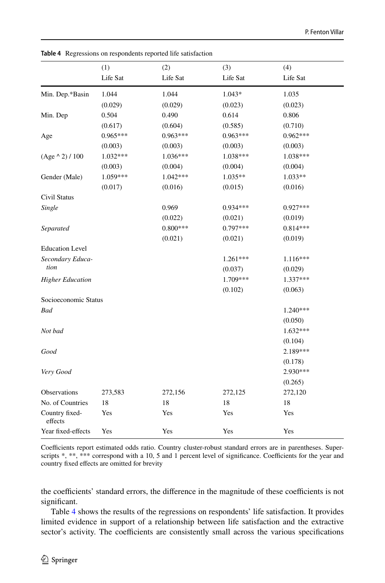|                           | (1)        | (2)        | (3)        | (4)        |
|---------------------------|------------|------------|------------|------------|
|                           | Life Sat   | Life Sat   | Life Sat   | Life Sat   |
| Min. Dep.*Basin           | 1.044      | 1.044      | 1.043*     | 1.035      |
|                           | (0.029)    | (0.029)    | (0.023)    | (0.023)    |
| Min. Dep                  | 0.504      | 0.490      | 0.614      | 0.806      |
|                           | (0.617)    | (0.604)    | (0.585)    | (0.710)    |
| Age                       | $0.965***$ | $0.963***$ | $0.963***$ | $0.962***$ |
|                           | (0.003)    | (0.003)    | (0.003)    | (0.003)    |
| $(Age \land 2) / 100$     | 1.032***   | 1.036***   | 1.038***   | 1.038***   |
|                           | (0.003)    | (0.004)    | (0.004)    | (0.004)    |
| Gender (Male)             | 1.059***   | $1.042***$ | $1.035**$  | 1.033**    |
|                           | (0.017)    | (0.016)    | (0.015)    | (0.016)    |
| Civil Status              |            |            |            |            |
| Single                    |            | 0.969      | $0.934***$ | $0.927***$ |
|                           |            | (0.022)    | (0.021)    | (0.019)    |
| Separated                 |            | $0.800***$ | $0.797***$ | $0.814***$ |
|                           |            | (0.021)    | (0.021)    | (0.019)    |
| <b>Education Level</b>    |            |            |            |            |
| Secondary Educa-          |            |            | $1.261***$ | 1.116***   |
| tion                      |            |            | (0.037)    | (0.029)    |
| <b>Higher Education</b>   |            |            | 1.709***   | 1.337***   |
|                           |            |            | (0.102)    | (0.063)    |
| Socioeconomic Status      |            |            |            |            |
| Bad                       |            |            |            | $1.240***$ |
|                           |            |            |            | (0.050)    |
| Not bad                   |            |            |            | 1.632***   |
|                           |            |            |            | (0.104)    |
| Good                      |            |            |            | 2.189***   |
|                           |            |            |            | (0.178)    |
| Very Good                 |            |            |            | 2.930***   |
|                           |            |            |            | (0.265)    |
| Observations              | 273,583    | 272,156    | 272,125    | 272,120    |
| No. of Countries          | 18         | 18         | 18         | 18         |
| Country fixed-<br>effects | Yes        | Yes        | Yes        | Yes        |
| Year fixed-effects        | Yes        | Yes        | Yes        | Yes        |

<span id="page-15-0"></span>**Table 4** Regressions on respondents reported life satisfaction

Coefficients report estimated odds ratio. Country cluster-robust standard errors are in parentheses. Superscripts \*, \*\*\* correspond with a 10, 5 and 1 percent level of significance. Coefficients for the year and country fxed efects are omitted for brevity

the coefficients' standard errors, the difference in the magnitude of these coefficients is not significant.

Table [4](#page-15-0) shows the results of the regressions on respondents' life satisfaction. It provides limited evidence in support of a relationship between life satisfaction and the extractive sector's activity. The coefficients are consistently small across the various specifications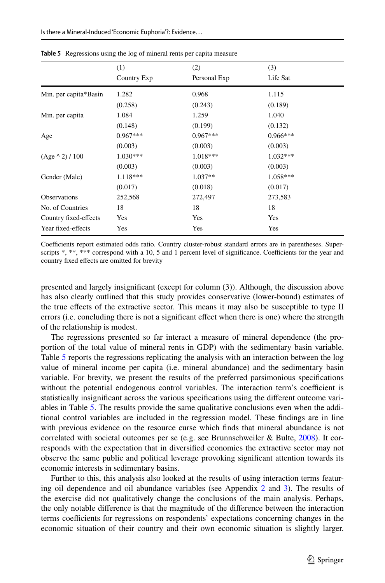|                       | (1)         | (2)          | (3)        |  |
|-----------------------|-------------|--------------|------------|--|
|                       | Country Exp | Personal Exp | Life Sat   |  |
| Min. per capita*Basin | 1.282       | 0.968        | 1.115      |  |
|                       | (0.258)     | (0.243)      | (0.189)    |  |
| Min. per capita       | 1.084       | 1.259        | 1.040      |  |
|                       | (0.148)     | (0.199)      | (0.132)    |  |
| Age                   | $0.967***$  | $0.967***$   | $0.966***$ |  |
|                       | (0.003)     | (0.003)      | (0.003)    |  |
| $(Age \land 2) / 100$ | $1.030***$  | 1.018***     | $1.032***$ |  |
|                       | (0.003)     | (0.003)      | (0.003)    |  |
| Gender (Male)         | 1.118***    | $1.037**$    | $1.058***$ |  |
|                       | (0.017)     | (0.018)      | (0.017)    |  |
| <b>Observations</b>   | 252,568     | 272,497      | 273,583    |  |
| No. of Countries      | 18          | 18           | 18         |  |
| Country fixed-effects | Yes         | Yes          | Yes        |  |
| Year fixed-effects    | Yes         | Yes          | Yes        |  |

<span id="page-16-0"></span>**Table 5** Regressions using the log of mineral rents per capita measure

Coefficients report estimated odds ratio. Country cluster-robust standard errors are in parentheses. Superscripts \*, \*\*, \*\*\* correspond with a 10, 5 and 1 percent level of significance. Coefficients for the year and country fxed efects are omitted for brevity

presented and largely insignifcant (except for column (3)). Although, the discussion above has also clearly outlined that this study provides conservative (lower-bound) estimates of the true efects of the extractive sector. This means it may also be susceptible to type II errors (i.e. concluding there is not a significant effect when there is one) where the strength of the relationship is modest.

The regressions presented so far interact a measure of mineral dependence (the proportion of the total value of mineral rents in GDP) with the sedimentary basin variable. Table [5](#page-16-0) reports the regressions replicating the analysis with an interaction between the log value of mineral income per capita (i.e. mineral abundance) and the sedimentary basin variable. For brevity, we present the results of the preferred parsimonious specifcations without the potential endogenous control variables. The interaction term's coefficient is statistically insignifcant across the various specifcations using the diferent outcome variables in Table [5.](#page-16-0) The results provide the same qualitative conclusions even when the additional control variables are included in the regression model. These fndings are in line with previous evidence on the resource curse which fnds that mineral abundance is not correlated with societal outcomes per se (e.g. see Brunnschweiler & Bulte, [2008](#page-25-11)). It corresponds with the expectation that in diversifed economies the extractive sector may not observe the same public and political leverage provoking signifcant attention towards its economic interests in sedimentary basins.

Further to this, this analysis also looked at the results of using interaction terms featuring oil dependence and oil abundance variables (see Appendix [2](#page-20-0) and [3\)](#page-21-0). The results of the exercise did not qualitatively change the conclusions of the main analysis. Perhaps, the only notable diference is that the magnitude of the diference between the interaction terms coefficients for regressions on respondents' expectations concerning changes in the economic situation of their country and their own economic situation is slightly larger.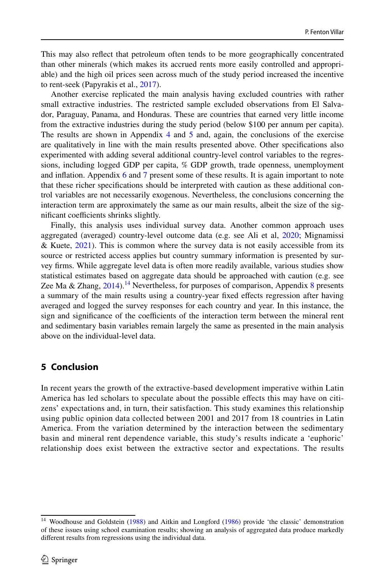This may also refect that petroleum often tends to be more geographically concentrated than other minerals (which makes its accrued rents more easily controlled and appropriable) and the high oil prices seen across much of the study period increased the incentive to rent-seek (Papyrakis et al., [2017\)](#page-27-11).

Another exercise replicated the main analysis having excluded countries with rather small extractive industries. The restricted sample excluded observations from El Salvador, Paraguay, Panama, and Honduras. These are countries that earned very little income from the extractive industries during the study period (below \$100 per annum per capita). The results are shown in Appendix [4](#page-21-1) and [5](#page-22-0) and, again, the conclusions of the exercise are qualitatively in line with the main results presented above. Other specifcations also experimented with adding several additional country-level control variables to the regressions, including logged GDP per capita, % GDP growth, trade openness, unemployment and infation. Appendix [6](#page-23-0) and [7](#page-24-0) present some of these results. It is again important to note that these richer specifcations should be interpreted with caution as these additional control variables are not necessarily exogenous. Nevertheless, the conclusions concerning the interaction term are approximately the same as our main results, albeit the size of the significant coefficients shrinks slightly.

Finally, this analysis uses individual survey data. Another common approach uses aggregated (averaged) country-level outcome data (e.g. see Ali et al, [2020](#page-25-3); Mignamissi & Kuete, [2021\)](#page-26-9). This is common where the survey data is not easily accessible from its source or restricted access applies but country summary information is presented by survey frms. While aggregate level data is often more readily available, various studies show statistical estimates based on aggregate data should be approached with caution (e.g. see Zee Ma & Zhang,  $2014$ ).<sup>14</sup> Nevertheless, for purposes of comparison, Appendix [8](#page-24-1) presents a summary of the main results using a country-year fxed efects regression after having averaged and logged the survey responses for each country and year. In this instance, the sign and significance of the coefficients of the interaction term between the mineral rent and sedimentary basin variables remain largely the same as presented in the main analysis above on the individual-level data.

# <span id="page-17-0"></span>**5 Conclusion**

In recent years the growth of the extractive-based development imperative within Latin America has led scholars to speculate about the possible efects this may have on citizens' expectations and, in turn, their satisfaction. This study examines this relationship using public opinion data collected between 2001 and 2017 from 18 countries in Latin America. From the variation determined by the interaction between the sedimentary basin and mineral rent dependence variable, this study's results indicate a 'euphoric' relationship does exist between the extractive sector and expectations. The results

<span id="page-17-1"></span><sup>&</sup>lt;sup>14</sup> Woodhouse and Goldstein ([1988\)](#page-27-2) and Aitkin and Longford [\(1986](#page-25-4)) provide 'the classic' demonstration of these issues using school examination results; showing an analysis of aggregated data produce markedly diferent results from regressions using the individual data.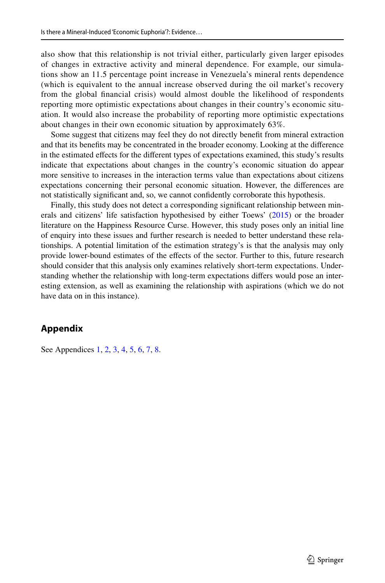also show that this relationship is not trivial either, particularly given larger episodes of changes in extractive activity and mineral dependence. For example, our simulations show an 11.5 percentage point increase in Venezuela's mineral rents dependence (which is equivalent to the annual increase observed during the oil market's recovery from the global fnancial crisis) would almost double the likelihood of respondents reporting more optimistic expectations about changes in their country's economic situation. It would also increase the probability of reporting more optimistic expectations about changes in their own economic situation by approximately 63%.

Some suggest that citizens may feel they do not directly beneft from mineral extraction and that its benefts may be concentrated in the broader economy. Looking at the diference in the estimated efects for the diferent types of expectations examined, this study's results indicate that expectations about changes in the country's economic situation do appear more sensitive to increases in the interaction terms value than expectations about citizens expectations concerning their personal economic situation. However, the diferences are not statistically signifcant and, so, we cannot confdently corroborate this hypothesis.

Finally, this study does not detect a corresponding signifcant relationship between minerals and citizens' life satisfaction hypothesised by either Toews' ([2015\)](#page-27-0) or the broader literature on the Happiness Resource Curse. However, this study poses only an initial line of enquiry into these issues and further research is needed to better understand these relationships. A potential limitation of the estimation strategy's is that the analysis may only provide lower-bound estimates of the efects of the sector. Further to this, future research should consider that this analysis only examines relatively short-term expectations. Understanding whether the relationship with long-term expectations difers would pose an interesting extension, as well as examining the relationship with aspirations (which we do not have data on in this instance).

### **Appendix**

See Appendices [1,](#page-19-0) [2](#page-20-0), [3,](#page-21-0) [4](#page-21-1), [5,](#page-22-0) [6](#page-23-0), [7,](#page-24-0) [8](#page-24-1).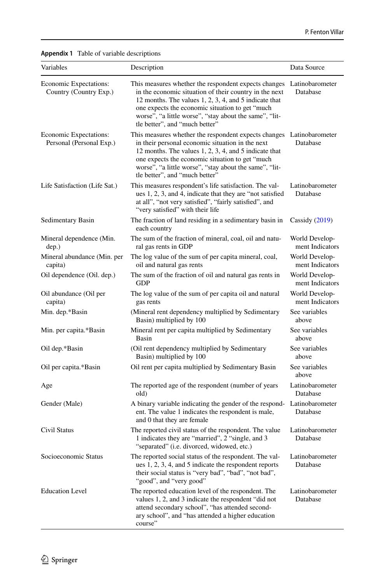<span id="page-19-0"></span>

| Variables                                          | Description                                                                                                                                                                                                                                                                                                                       | Data Source                       |
|----------------------------------------------------|-----------------------------------------------------------------------------------------------------------------------------------------------------------------------------------------------------------------------------------------------------------------------------------------------------------------------------------|-----------------------------------|
| Economic Expectations:<br>Country (Country Exp.)   | This measures whether the respondent expects changes<br>in the economic situation of their country in the next<br>12 months. The values 1, 2, 3, 4, and 5 indicate that<br>one expects the economic situation to get "much<br>worse", "a little worse", "stay about the same", "lit-<br>tle better", and "much better"            | Latinobarometer<br>Database       |
| Economic Expectations:<br>Personal (Personal Exp.) | This measures whether the respondent expects changes Latinobarometer<br>in their personal economic situation in the next<br>12 months. The values 1, 2, 3, 4, and 5 indicate that<br>one expects the economic situation to get "much"<br>worse", "a little worse", "stay about the same", "lit-<br>tle better", and "much better" | Database                          |
| Life Satisfaction (Life Sat.)                      | This measures respondent's life satisfaction. The val-<br>ues 1, 2, 3, and 4, indicate that they are "not satisfied<br>at all", "not very satisfied", "fairly satisfied", and<br>"very satisfied" with their life                                                                                                                 | Latinobarometer<br>Database       |
| Sedimentary Basin                                  | The fraction of land residing in a sedimentary basin in<br>each country                                                                                                                                                                                                                                                           | Cassidy $(2019)$                  |
| Mineral dependence (Min.<br>dep.)                  | The sum of the fraction of mineral, coal, oil and natu-<br>ral gas rents in GDP                                                                                                                                                                                                                                                   | World Develop-<br>ment Indicators |
| Mineral abundance (Min. per<br>capita)             | The log value of the sum of per capita mineral, coal,<br>oil and natural gas rents                                                                                                                                                                                                                                                | World Develop-<br>ment Indicators |
| Oil dependence (Oil. dep.)                         | The sum of the fraction of oil and natural gas rents in<br><b>GDP</b>                                                                                                                                                                                                                                                             | World Develop-<br>ment Indicators |
| Oil abundance (Oil per<br>capita)                  | The log value of the sum of per capita oil and natural<br>gas rents                                                                                                                                                                                                                                                               | World Develop-<br>ment Indicators |
| Min. dep.*Basin                                    | (Mineral rent dependency multiplied by Sedimentary<br>Basin) multiplied by 100                                                                                                                                                                                                                                                    | See variables<br>above            |
| Min. per capita.*Basin                             | Mineral rent per capita multiplied by Sedimentary<br>Basin                                                                                                                                                                                                                                                                        | See variables<br>above            |
| Oil dep.*Basin                                     | (Oil rent dependency multiplied by Sedimentary<br>Basin) multiplied by 100                                                                                                                                                                                                                                                        | See variables<br>above            |
| Oil per capita.*Basin                              | Oil rent per capita multiplied by Sedimentary Basin                                                                                                                                                                                                                                                                               | See variables<br>above            |
| Age                                                | The reported age of the respondent (number of years<br>old)                                                                                                                                                                                                                                                                       | Latinobarometer<br>Database       |
| Gender (Male)                                      | A binary variable indicating the gender of the respond-<br>ent. The value 1 indicates the respondent is male,<br>and 0 that they are female                                                                                                                                                                                       | Latinobarometer<br>Database       |
| Civil Status                                       | The reported civil status of the respondent. The value<br>1 indicates they are "married", 2 "single, and 3<br>"separated" (i.e. divorced, widowed, etc.)                                                                                                                                                                          | Latinobarometer<br>Database       |
| Socioeconomic Status                               | The reported social status of the respondent. The val-<br>ues 1, 2, 3, 4, and 5 indicate the respondent reports<br>their social status is "very bad", "bad", "not bad",<br>"good", and "very good"                                                                                                                                | Latinobarometer<br>Database       |
| <b>Education Level</b>                             | The reported education level of the respondent. The<br>values 1, 2, and 3 indicate the respondent "did not<br>attend secondary school", "has attended second-<br>ary school", and "has attended a higher education<br>course"                                                                                                     | Latinobarometer<br>Database       |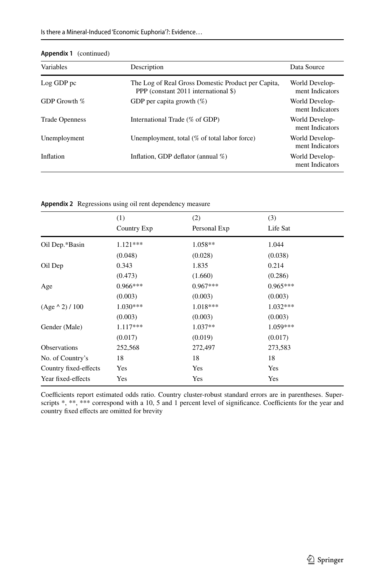| Variables             | Description                                                                                | Data Source                       |
|-----------------------|--------------------------------------------------------------------------------------------|-----------------------------------|
| Log GDP pc            | The Log of Real Gross Domestic Product per Capita,<br>PPP (constant 2011 international \$) | World Develop-<br>ment Indicators |
| GDP Growth %          | GDP per capita growth $(\%)$                                                               | World Develop-<br>ment Indicators |
| <b>Trade Openness</b> | International Trade (% of GDP)                                                             | World Develop-<br>ment Indicators |
| Unemployment          | Unemployment, total $(\%$ of total labor force)                                            | World Develop-<br>ment Indicators |
| Inflation             | Inflation, GDP deflator (annual $\%$ )                                                     | World Develop-<br>ment Indicators |

| Appendix 1 (continued) |  |
|------------------------|--|
|------------------------|--|

<span id="page-20-0"></span>**Appendix 2** Regressions using oil rent dependency measure

|                       | (1)         | (2)          | (3)        |  |
|-----------------------|-------------|--------------|------------|--|
|                       | Country Exp | Personal Exp | Life Sat   |  |
| Oil Dep.*Basin        | $1.121***$  | $1.058**$    | 1.044      |  |
|                       | (0.048)     | (0.028)      | (0.038)    |  |
| Oil Dep               | 0.343       | 1.835        | 0.214      |  |
|                       | (0.473)     | (1.660)      | (0.286)    |  |
| Age                   | $0.966***$  | $0.967***$   | $0.965***$ |  |
|                       | (0.003)     | (0.003)      | (0.003)    |  |
| $(Age \land 2) / 100$ | $1.030***$  | $1.018***$   | $1.032***$ |  |
|                       | (0.003)     | (0.003)      | (0.003)    |  |
| Gender (Male)         | $1.117***$  | $1.037**$    | $1.059***$ |  |
|                       | (0.017)     | (0.019)      | (0.017)    |  |
| <b>Observations</b>   | 252,568     | 272,497      | 273,583    |  |
| No. of Country's      | 18          | 18           | 18         |  |
| Country fixed-effects | Yes         | Yes          | Yes        |  |
| Year fixed-effects    | Yes         | Yes          | Yes        |  |

Coefficients report estimated odds ratio. Country cluster-robust standard errors are in parentheses. Superscripts \*, \*\*\* correspond with a 10, 5 and 1 percent level of significance. Coefficients for the year and country fxed efects are omitted for brevity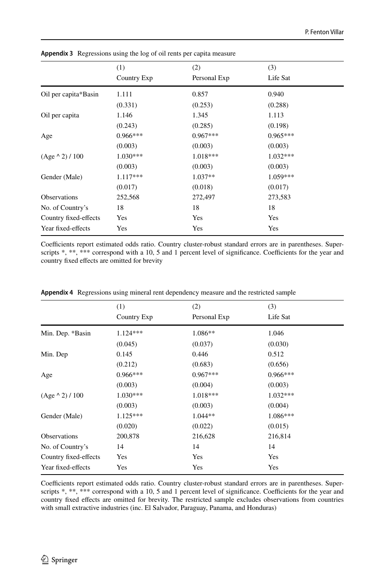|                       | (1)         | (2)          | (3)        |  |
|-----------------------|-------------|--------------|------------|--|
|                       | Country Exp | Personal Exp | Life Sat   |  |
| Oil per capita*Basin  | 1.111       | 0.857        | 0.940      |  |
|                       | (0.331)     | (0.253)      | (0.288)    |  |
| Oil per capita        | 1.146       | 1.345        | 1.113      |  |
|                       | (0.243)     | (0.285)      | (0.198)    |  |
| Age                   | $0.966***$  | $0.967***$   | $0.965***$ |  |
|                       | (0.003)     | (0.003)      | (0.003)    |  |
| $(Age \land 2) / 100$ | $1.030***$  | 1.018***     | $1.032***$ |  |
|                       | (0.003)     | (0.003)      | (0.003)    |  |
| Gender (Male)         | $1.117***$  | $1.037**$    | $1.059***$ |  |
|                       | (0.017)     | (0.018)      | (0.017)    |  |
| Observations          | 252,568     | 272,497      | 273,583    |  |
| No. of Country's      | 18          | 18           | 18         |  |
| Country fixed-effects | Yes         | Yes          | Yes        |  |
| Year fixed-effects    | Yes         | Yes          | Yes        |  |

<span id="page-21-0"></span>**Appendix 3** Regressions using the log of oil rents per capita measure

Coefficients report estimated odds ratio. Country cluster-robust standard errors are in parentheses. Superscripts \*, \*\*\* correspond with a 10, 5 and 1 percent level of significance. Coefficients for the year and country fxed efects are omitted for brevity

|                       | (1)         | (2)          | (3)        |
|-----------------------|-------------|--------------|------------|
|                       | Country Exp | Personal Exp | Life Sat   |
| Min. Dep. *Basin      | $1.124***$  | $1.086**$    | 1.046      |
|                       | (0.045)     | (0.037)      | (0.030)    |
| Min. Dep              | 0.145       | 0.446        | 0.512      |
|                       | (0.212)     | (0.683)      | (0.656)    |
| Age                   | $0.966***$  | $0.967***$   | $0.966***$ |
|                       | (0.003)     | (0.004)      | (0.003)    |
| $(Age \land 2) / 100$ | $1.030***$  | 1.018***     | $1.032***$ |
|                       | (0.003)     | (0.003)      | (0.004)    |
| Gender (Male)         | $1.125***$  | $1.044**$    | $1.086***$ |
|                       | (0.020)     | (0.022)      | (0.015)    |
| <b>Observations</b>   | 200,878     | 216,628      | 216,814    |
| No. of Country's      | 14          | 14           | 14         |
| Country fixed-effects | Yes         | Yes          | Yes        |
| Year fixed-effects    | Yes         | Yes          | Yes        |

<span id="page-21-1"></span>**Appendix 4** Regressions using mineral rent dependency measure and the restricted sample

Coefficients report estimated odds ratio. Country cluster-robust standard errors are in parentheses. Superscripts  $*, **$ ,  $***$  correspond with a 10, 5 and 1 percent level of significance. Coefficients for the year and country fxed efects are omitted for brevity. The restricted sample excludes observations from countries with small extractive industries (inc. El Salvador, Paraguay, Panama, and Honduras)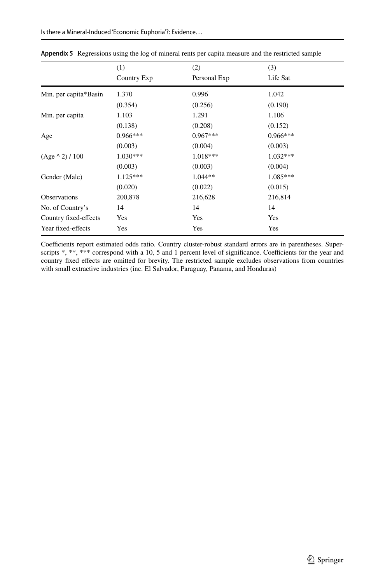|                       | (1)<br>Country Exp | (2)<br>Personal Exp | (3)<br>Life Sat |  |
|-----------------------|--------------------|---------------------|-----------------|--|
|                       |                    |                     |                 |  |
| Min. per capita*Basin | 1.370              | 0.996               | 1.042           |  |
|                       | (0.354)            | (0.256)             | (0.190)         |  |
| Min. per capita       | 1.103              | 1.291               | 1.106           |  |
|                       | (0.138)            | (0.208)             | (0.152)         |  |
| Age                   | $0.966***$         | $0.967***$          | $0.966***$      |  |
|                       | (0.003)            | (0.004)             | (0.003)         |  |
| $(Age \land 2) / 100$ | $1.030***$         | 1.018***            | $1.032***$      |  |
|                       | (0.003)            | (0.003)             | (0.004)         |  |
| Gender (Male)         | $1.125***$         | $1.044**$           | $1.085***$      |  |
|                       | (0.020)            | (0.022)             | (0.015)         |  |
| <b>Observations</b>   | 200,878            | 216,628             | 216,814         |  |
| No. of Country's      | 14                 | 14                  | 14              |  |
| Country fixed-effects | Yes                | Yes                 | Yes             |  |
| Year fixed-effects    | Yes                | Yes                 | Yes             |  |

<span id="page-22-0"></span>**Appendix 5** Regressions using the log of mineral rents per capita measure and the restricted sample

Coefficients report estimated odds ratio. Country cluster-robust standard errors are in parentheses. Superscripts \*, \*\*, \*\*\* correspond with a 10, 5 and 1 percent level of significance. Coefficients for the year and country fxed efects are omitted for brevity. The restricted sample excludes observations from countries with small extractive industries (inc. El Salvador, Paraguay, Panama, and Honduras)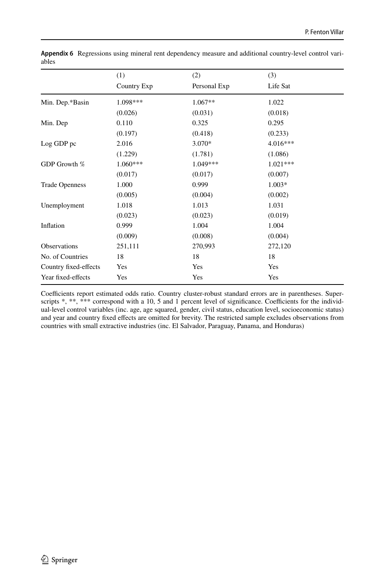|                       | (1)         | (2)          | (3)<br>Life Sat |
|-----------------------|-------------|--------------|-----------------|
|                       | Country Exp | Personal Exp |                 |
| Min. Dep.*Basin       | 1.098***    | $1.067**$    | 1.022           |
|                       | (0.026)     | (0.031)      | (0.018)         |
| Min. Dep              | 0.110       | 0.325        | 0.295           |
|                       | (0.197)     | (0.418)      | (0.233)         |
| Log GDP pc            | 2.016       | 3.070*       | $4.016***$      |
|                       | (1.229)     | (1.781)      | (1.086)         |
| GDP Growth %          | $1.060***$  | $1.049***$   | $1.021***$      |
|                       | (0.017)     | (0.017)      | (0.007)         |
| <b>Trade Openness</b> | 1.000       | 0.999        | $1.003*$        |
|                       | (0.005)     | (0.004)      | (0.002)         |
| Unemployment          | 1.018       | 1.013        | 1.031           |
|                       | (0.023)     | (0.023)      | (0.019)         |
| Inflation             | 0.999       | 1.004        | 1.004           |
|                       | (0.009)     | (0.008)      | (0.004)         |
| Observations          | 251,111     | 270,993      | 272,120         |
| No. of Countries      | 18          | 18           | 18              |
| Country fixed-effects | Yes         | Yes          | Yes             |
| Year fixed-effects    | Yes         | Yes          | Yes             |

<span id="page-23-0"></span>**Appendix 6** Regressions using mineral rent dependency measure and additional country-level control variables

Coefficients report estimated odds ratio. Country cluster-robust standard errors are in parentheses. Superscripts  $*, **$ ,  $***$  correspond with a 10, 5 and 1 percent level of significance. Coefficients for the individual-level control variables (inc. age, age squared, gender, civil status, education level, socioeconomic status) and year and country fxed efects are omitted for brevity. The restricted sample excludes observations from countries with small extractive industries (inc. El Salvador, Paraguay, Panama, and Honduras)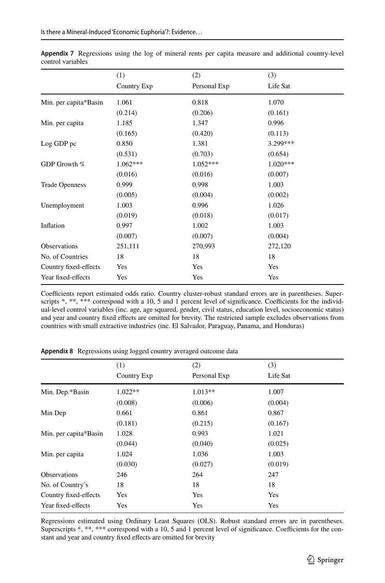|                       | (1)<br>Country Exp | (2)          | (3)<br>Life Sat |  |
|-----------------------|--------------------|--------------|-----------------|--|
|                       |                    | Personal Exp |                 |  |
| Min. per capita*Basin | 1.061              | 0.818        | 1.070           |  |
|                       | (0.214)            | (0.206)      | (0.161)         |  |
| Min. per capita       | 1.185              | 1.347        | 0.996           |  |
|                       | (0.165)            | (0.420)      | (0.113)         |  |
| Log GDP pc            | 0.850              | 1.381        | 3.299***        |  |
|                       | (0.531)            | (0.703)      | (0.654)         |  |
| GDP Growth %          | $1.062***$         | $1.052***$   | $1.020***$      |  |
|                       | (0.016)            | (0.016)      | (0.007)         |  |
| <b>Trade Openness</b> | 0.999              | 0.998        | 1.003           |  |
|                       | (0.005)            | (0.004)      | (0.002)         |  |
| Unemployment          | 1.003              | 0.996        | 1.026           |  |
|                       | (0.019)            | (0.018)      | (0.017)         |  |
| Inflation             | 0.997              | 1.002        | 1.003           |  |
|                       | (0.007)            | (0.007)      | (0.004)         |  |
| Observations          | 251,111            | 270,993      | 272,120         |  |
| No. of Countries      | 18                 | 18           | 18              |  |
| Country fixed-effects | Yes                | Yes          | Yes             |  |
| Year fixed-effects    | Yes                | Yes          | Yes             |  |

<span id="page-24-0"></span>**Appendix 7** Regressions using the log of mineral rents per capita measure and additional country-level control variables

Coefficients report estimated odds ratio. Country cluster-robust standard errors are in parentheses. Superscripts  $*, **$ ,  $***$  correspond with a 10, 5 and 1 percent level of significance. Coefficients for the individual-level control variables (inc. age, age squared, gender, civil status, education level, socioeconomic status) and year and country fxed efects are omitted for brevity. The restricted sample excludes observations from countries with small extractive industries (inc. El Salvador, Paraguay, Panama, and Honduras)

|                       | (1)<br>Country Exp | (2)<br>Personal Exp | (3)<br>Life Sat |  |
|-----------------------|--------------------|---------------------|-----------------|--|
|                       |                    |                     |                 |  |
| Min. Dep.*Basin       | $1.022**$          | $1.013**$           | 1.007           |  |
|                       | (0.008)            | (0.006)             | (0.004)         |  |
| Min Dep               | 0.661              | 0.861               | 0.867           |  |
|                       | (0.181)            | (0.215)             | (0.167)         |  |
| Min. per capita*Basin | 1.028              | 0.993               | 1.021           |  |
|                       | (0.044)            | (0.040)             | (0.025)         |  |
| Min. per capita       | 1.024              | 1.036               | 1.003           |  |
|                       | (0.030)            | (0.027)             | (0.019)         |  |
| <b>Observations</b>   | 246                | 264                 | 247             |  |
| No. of Country's      | 18                 | 18                  | 18              |  |
| Country fixed-effects | Yes                | Yes                 | Yes             |  |
| Year fixed-effects    | Yes                | Yes                 | Yes             |  |

<span id="page-24-1"></span>**Appendix 8** Regressions using logged country averaged outcome data

Regressions estimated using Ordinary Least Squares (OLS). Robust standard errors are in parentheses. Superscripts \*, \*\*, \*\*\* correspond with a 10, 5 and 1 percent level of significance. Coefficients for the constant and year and country fxed efects are omitted for brevity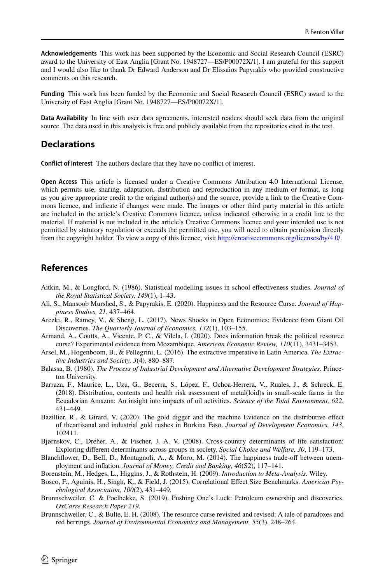**Acknowledgements** This work has been supported by the Economic and Social Research Council (ESRC) award to the University of East Anglia [Grant No. 1948727—ES/P00072X/1]. I am grateful for this support and I would also like to thank Dr Edward Anderson and Dr Elissaios Papyrakis who provided constructive comments on this research.

**Funding** This work has been funded by the Economic and Social Research Council (ESRC) award to the University of East Anglia [Grant No. 1948727—ES/P00072X/1].

**Data Availability** In line with user data agreements, interested readers should seek data from the original source. The data used in this analysis is free and publicly available from the repositories cited in the text.

# **Declarations**

**Confict of interest** The authors declare that they have no confict of interest.

**Open Access** This article is licensed under a Creative Commons Attribution 4.0 International License, which permits use, sharing, adaptation, distribution and reproduction in any medium or format, as long as you give appropriate credit to the original author(s) and the source, provide a link to the Creative Commons licence, and indicate if changes were made. The images or other third party material in this article are included in the article's Creative Commons licence, unless indicated otherwise in a credit line to the material. If material is not included in the article's Creative Commons licence and your intended use is not permitted by statutory regulation or exceeds the permitted use, you will need to obtain permission directly from the copyright holder. To view a copy of this licence, visit [http://creativecommons.org/licenses/by/4.0/.](http://creativecommons.org/licenses/by/4.0/)

# **References**

- <span id="page-25-4"></span>Aitkin, M., & Longford, N. (1986). Statistical modelling issues in school efectiveness studies. *Journal of the Royal Statistical Society, 149*(1), 1–43.
- <span id="page-25-3"></span>Ali, S., Mansoob Murshed, S., & Papyrakis, E. (2020). Happiness and the Resource Curse. *Journal of Happiness Studies, 21*, 437–464.
- <span id="page-25-9"></span>Arezki, R., Ramey, V., & Sheng, L. (2017). News Shocks in Open Economies: Evidence from Giant Oil Discoveries. *The Quarterly Journal of Economics, 132*(1), 103–155.
- <span id="page-25-7"></span>Armand, A., Coutts, A., Vicente, P. C., & Vilela, I. (2020). Does information break the political resource curse? Experimental evidence from Mozambique. *American Economic Review, 110*(11), 3431–3453.
- <span id="page-25-0"></span>Arsel, M., Hogenboom, B., & Pellegrini, L. (2016). The extractive imperative in Latin America. *The Extractive Industries and Society, 3*(4), 880–887.
- <span id="page-25-5"></span>Balassa, B. (1980). *The Process of Industrial Development and Alternative Development Strategies*. Princeton University.
- <span id="page-25-6"></span>Barraza, F., Maurice, L., Uzu, G., Becerra, S., López, F., Ochoa-Herrera, V., Ruales, J., & Schreck, E. (2018). Distribution, contents and health risk assessment of metal(loid)s in small-scale farms in the Ecuadorian Amazon: An insight into impacts of oil activities. *Science of the Total Environment, 622*, 431–449.
- <span id="page-25-10"></span>Bazillier, R., & Girard, V. (2020). The gold digger and the machine Evidence on the distributive efect of theartisanal and industrial gold rushes in Burkina Faso. *Journal of Development Economics, 143*, 102411.

<span id="page-25-2"></span>Bjørnskov, C., Dreher, A., & Fischer, J. A. V. (2008). Cross-country determinants of life satisfaction: Exploring diferent determinants across groups in society. *Social Choice and Welfare, 30*, 119–173.

<span id="page-25-1"></span>Blanchfower, D., Bell, D., Montagnoli, A., & Moro, M. (2014). The happiness trade-of between unemployment and infation. *Journal of Money, Credit and Banking, 46*(S2), 117–141.

<span id="page-25-13"></span>Borenstein, M., Hedges, L., Higgins, J., & Rothstein, H. (2009). *Introduction to Meta-Analysis*. Wiley.

- <span id="page-25-12"></span>Bosco, F., Aguinis, H., Singh, K., & Field, J. (2015). Correlational Efect Size Benchmarks. *American Psychological Association, 100*(2), 431–449.
- <span id="page-25-8"></span>Brunnschweiler, C. & Poelhekke, S. (2019). Pushing One's Luck: Petroleum ownership and discoveries. *OxCarre Research Paper 219*.
- <span id="page-25-11"></span>Brunnschweiler, C., & Bulte, E. H. (2008). The resource curse revisited and revised: A tale of paradoxes and red herrings. *Journal of Environmental Economics and Management, 55*(3), 248–264.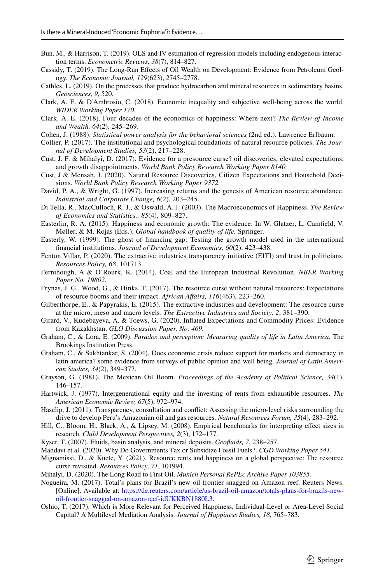- <span id="page-26-24"></span>Bun, M., & Harrison, T. (2019). OLS and IV estimation of regression models including endogenous interaction terms. *Econometric Reviews, 38*(7), 814–827.
- <span id="page-26-17"></span>Cassidy, T. (2019). The Long-Run Efects of Oil Wealth on Development: Evidence from Petroleum Geology. *The Economic Journal, 129*(623), 2745–2778.
- <span id="page-26-20"></span>Cathles, L. (2019). On the processes that produce hydrocarbon and mineral resources in sedimentary basins. *Geosciences, 9*, 520.
- <span id="page-26-26"></span>Clark, A. E. & D'Ambrosio, C. (2018). Economic inequality and subjective well-being across the world. *WIDER Working Paper 170.*
- <span id="page-26-6"></span>Clark, A. E. (2018). Four decades of the economics of happiness: Where next? *The Review of Income and Wealth, 64*(2), 245–269.
- <span id="page-26-28"></span>Cohen, J. (1988). *Statistical power analysis for the behavioral sciences* (2nd ed.). Lawrence Erlbaum.
- <span id="page-26-1"></span>Collier, P. (2017). The institutional and psychological foundations of natural resource policies. *The Journal of Development Studies, 53*(2), 217–228.
- <span id="page-26-2"></span>Cust, J. F. & Mihalyi, D. (2017). Evidence for a presource curse? oil discoveries, elevated expectations, and growth disappointments. *World Bank Policy Research Working Paper 8140.*
- <span id="page-26-4"></span>Cust, J & Mensah, J. (2020). Natural Resource Discoveries, Citizen Expectations and Household Decisions. *World Bank Policy Research Working Paper 9372.*
- <span id="page-26-18"></span>David, P. A., & Wright, G. (1997). Increasing returns and the genesis of American resource abundance. *Industrial and Corporate Change, 6*(2), 203–245.
- <span id="page-26-5"></span>Di Tella, R., MacCulloch, R. J., & Oswald, A. J. (2003). The Macroeconomics of Happiness. *The Review of Economics and Statistics., 85*(4), 809–827.
- <span id="page-26-7"></span>Easterlin, R. A. (2015). Happiness and economic growth: The evidence. In W. Glatzer, L. Camfeld, V. Møller, & M. Rojas (Eds.), *Global handbook of quality of life.* Springer.
- <span id="page-26-11"></span>Easterly, W. (1999). The ghost of fnancing gap: Testing the growth model used in the international fnancial institutions. *Journal of Development Economics, 60*(2), 423–438.
- <span id="page-26-12"></span>Fenton Villar, P. (2020). The extractive industries transparency initiative (EITI) and trust in politicians. *Resources Policy, 68*, 101713.
- <span id="page-26-23"></span>Fernihough, A & O'Rourk, K. (2014). Coal and the European Industrial Revolution. *NBER Working Paper No. 19802.*
- <span id="page-26-3"></span>Frynas, J. G., Wood, G., & Hinks, T. (2017). The resource curse without natural resources: Expectations of resource booms and their impact. *African Afairs, 116*(463), 223–260.
- <span id="page-26-13"></span>Gilberthorpe, E., & Papyrakis, E. (2015). The extractive industries and development: The resource curse at the micro, meso and macro levels. *The Extractive Industries and Society, 2*, 381–390.
- <span id="page-26-16"></span>Girard, V., Kudebayeva, A. & Toews, G. (2020). Infated Expectations and Commodity Prices: Evidence from Kazakhstan. *GLO Discussion Paper, No. 469.*
- <span id="page-26-27"></span>Graham, C., & Lora, E. (2009). *Paradox and perception: Measuring quality of life in Latin America*. The Brookings Institution Press.
- <span id="page-26-25"></span>Graham, C., & Sukhtankar, S. (2004). Does economic crisis reduce support for markets and democracy in latin america? some evidence from surveys of public opinion and well being. *Journal of Latin American Studies, 34*(2), 349–377.
- <span id="page-26-0"></span>Grayson, G. (1981). The Mexican Oil Boom. *Proceedings of the Academy of Political Science, 34*(1), 146–157.
- <span id="page-26-10"></span>Hartwick, J. (1977). Intergenerational equity and the investing of rents from exhaustible resources. *The American Economic Review, 67*(5), 972–974.
- <span id="page-26-15"></span>Haselip, J. (2011). Transparency, consultation and confict: Assessing the micro-level risks surrounding the drive to develop Peru's Amazonian oil and gas resources. *Natural Resources Forum, 35*(4), 283–292.
- <span id="page-26-29"></span>Hill, C., Bloom, H., Black, A., & Lipsey, M. (2008). Empirical benchmarks for interpreting efect sizes in research. *Child Development Perspectives, 2*(3), 172–177.
- <span id="page-26-21"></span>Kyser, T. (2007). Fluids, basin analysis, and mineral deposits. *Geofuids, 7*, 238–257.
- <span id="page-26-19"></span>Mahdavi et al. (2020). Why Do Governments Tax or Subsidize Fossil Fuels?. *CGD Working Paper 541.*
- <span id="page-26-9"></span>Mignamissi, D., & Kuete, Y. (2021). Resource rents and happiness on a global perspective: The resource curse revisited. *Resources Policy, 71*, 101994.
- <span id="page-26-22"></span>Mihalyi, D. (2020). The Long Road to First Oil. *Munich Personal RePEc Archive Paper 103855.*
- <span id="page-26-14"></span>Nogueira, M. (2017). Total's plans for Brazil's new oil frontier snagged on Amazon reef. Reuters News. [Online]. Available at: [https://de.reuters.com/article/us-brazil-oil-amazon/totals-plans-for-brazils-new](https://de.reuters.com/article/us-brazil-oil-amazon/totals-plans-for-brazils-new-oil-frontier-snagged-on-amazon-reef-idUKKBN1880L3)[oil-frontier-snagged-on-amazon-reef-idUKKBN1880L3.](https://de.reuters.com/article/us-brazil-oil-amazon/totals-plans-for-brazils-new-oil-frontier-snagged-on-amazon-reef-idUKKBN1880L3)
- <span id="page-26-8"></span>Oshio, T. (2017). Which is More Relevant for Perceived Happiness, Individual-Level or Area-Level Social Capital? A Multilevel Mediation Analysis. *Journal of Happiness Studies, 18*, 765–783.